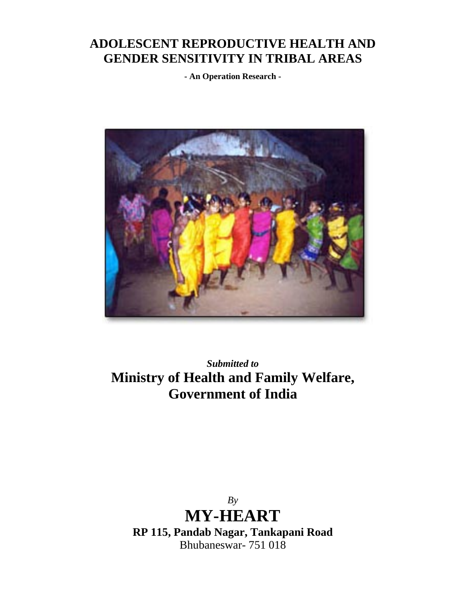## **ADOLESCENT REPRODUCTIVE HEALTH AND GENDER SENSITIVITY IN TRIBAL AREAS**

**- An Operation Research -** 



*Submitted to*  **Ministry of Health and Family Welfare, Government of India** 

*By*  **MY-HEART RP 115, Pandab Nagar, Tankapani Road**  Bhubaneswar- 751 018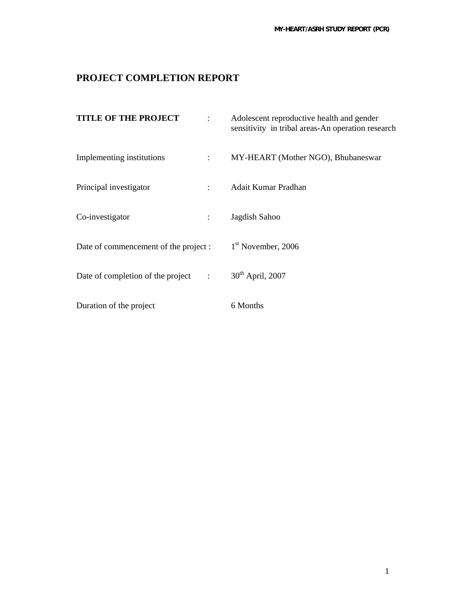## **PROJECT COMPLETION REPORT**

| <b>TITLE OF THE PROJECT</b>                    | Adolescent reproductive health and gender<br>sensitivity in tribal areas-An operation research |
|------------------------------------------------|------------------------------------------------------------------------------------------------|
| Implementing institutions<br>٠                 | MY-HEART (Mother NGO), Bhubaneswar                                                             |
| Principal investigator<br>$\ddot{\phantom{a}}$ | Adait Kumar Pradhan                                                                            |
| Co-investigator<br>$\ddot{\cdot}$              | Jagdish Sahoo                                                                                  |
| Date of commencement of the project :          | $1st$ November, 2006                                                                           |
| Date of completion of the project :            | $30th$ April, 2007                                                                             |
| Duration of the project                        | 6 Months                                                                                       |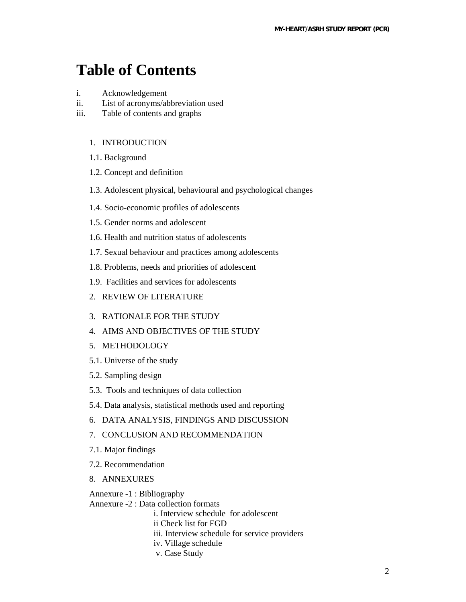# **Table of Contents**

- i. Acknowledgement
- ii. List of acronyms/abbreviation used
- iii. Table of contents and graphs

### 1. INTRODUCTION

- 1.1. Background
- 1.2. Concept and definition
- 1.3. Adolescent physical, behavioural and psychological changes
- 1.4. Socio-economic profiles of adolescents
- 1.5. Gender norms and adolescent
- 1.6. Health and nutrition status of adolescents
- 1.7. Sexual behaviour and practices among adolescents
- 1.8. Problems, needs and priorities of adolescent
- 1.9. Facilities and services for adolescents
- 2. REVIEW OF LITERATURE
- 3. RATIONALE FOR THE STUDY
- 4. AIMS AND OBJECTIVES OF THE STUDY
- 5. METHODOLOGY
- 5.1. Universe of the study
- 5.2. Sampling design
- 5.3. Tools and techniques of data collection
- 5.4. Data analysis, statistical methods used and reporting
- 6. DATA ANALYSIS, FINDINGS AND DISCUSSION
- 7. CONCLUSION AND RECOMMENDATION
- 7.1. Major findings
- 7.2. Recommendation
- 8. ANNEXURES

Annexure -1 : Bibliography Annexure -2 : Data collection formats i. Interview schedule for adolescent ii Check list for FGD iii. Interview schedule for service providers iv. Village schedule v. Case Study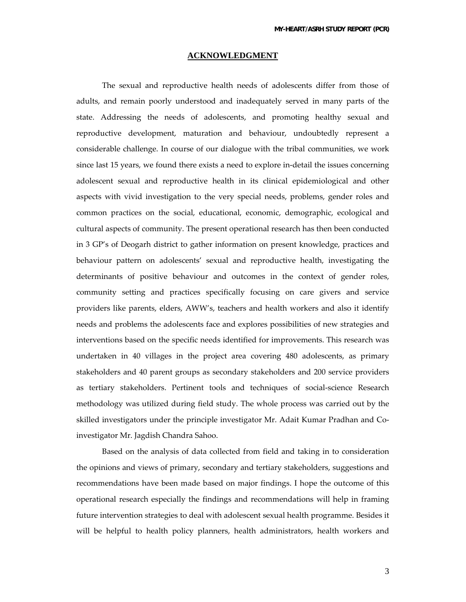#### **ACKNOWLEDGMENT**

The sexual and reproductive health needs of adolescents differ from those of adults, and remain poorly understood and inadequately served in many parts of the state. Addressing the needs of adolescents, and promoting healthy sexual and reproductive development, maturation and behaviour, undoubtedly represent a considerable challenge. In course of our dialogue with the tribal communities, we work since last 15 years, we found there exists a need to explore in-detail the issues concerning adolescent sexual and reproductive health in its clinical epidemiological and other aspects with vivid investigation to the very special needs, problems, gender roles and common practices on the social, educational, economic, demographic, ecological and cultural aspects of community. The present operational research has then been conducted in 3 GP's of Deogarh district to gather information on present knowledge, practices and behaviour pattern on adolescents' sexual and reproductive health, investigating the determinants of positive behaviour and outcomes in the context of gender roles, community setting and practices specifically focusing on care givers and service providers like parents, elders, AWW's, teachers and health workers and also it identify needs and problems the adolescents face and explores possibilities of new strategies and interventions based on the specific needs identified for improvements. This research was undertaken in 40 villages in the project area covering 480 adolescents, as primary stakeholders and 40 parent groups as secondary stakeholders and 200 service providers as tertiary stakeholders. Pertinent tools and techniques of social‐science Research methodology was utilized during field study. The whole process was carried out by the skilled investigators under the principle investigator Mr. Adait Kumar Pradhan and Coinvestigator Mr. Jagdish Chandra Sahoo.

Based on the analysis of data collected from field and taking in to consideration the opinions and views of primary, secondary and tertiary stakeholders, suggestions and recommendations have been made based on major findings. I hope the outcome of this operational research especially the findings and recommendations will help in framing future intervention strategies to deal with adolescent sexual health programme. Besides it will be helpful to health policy planners, health administrators, health workers and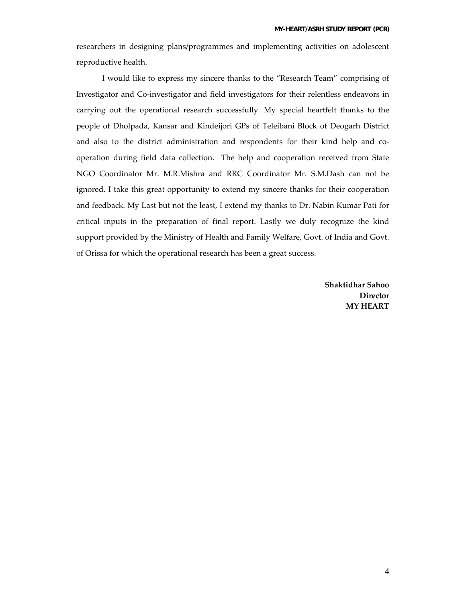researchers in designing plans/programmes and implementing activities on adolescent reproductive health.

I would like to express my sincere thanks to the "Research Team" comprising of Investigator and Co-investigator and field investigators for their relentless endeavors in carrying out the operational research successfully. My special heartfelt thanks to the people of Dholpada, Kansar and Kindeijori GPs of Teleibani Block of Deogarh District and also to the district administration and respondents for their kind help and cooperation during field data collection. The help and cooperation received from State NGO Coordinator Mr. M.R.Mishra and RRC Coordinator Mr. S.M.Dash can not be ignored. I take this great opportunity to extend my sincere thanks for their cooperation and feedback. My Last but not the least, I extend my thanks to Dr. Nabin Kumar Pati for critical inputs in the preparation of final report. Lastly we duly recognize the kind support provided by the Ministry of Health and Family Welfare, Govt. of India and Govt. of Orissa for which the operational research has been a great success.

> **Shaktidhar Sahoo Director MY HEART**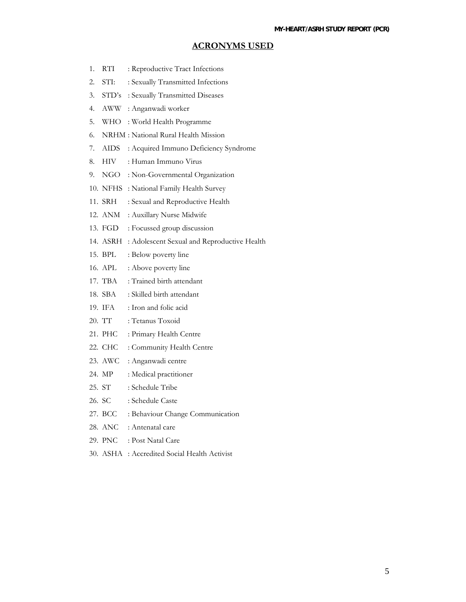### **ACRONYMS USED**

- 1. RTI : Reproductive Tract Infections
- 2. STI: : Sexually Transmitted Infections
- 3. STD's : Sexually Transmitted Diseases
- 4. AWW : Anganwadi worker
- 5. WHO : World Health Programme
- 6. NRHM : National Rural Health Mission
- 7. AIDS : Acquired Immuno Deficiency Syndrome
- 8. HIV : Human Immuno Virus
- 9. NGO : Non-Governmental Organization
- 10. NFHS : National Family Health Survey
- 11. SRH : Sexual and Reproductive Health
- 12. ANM : Auxillary Nurse Midwife
- 13. FGD : Focussed group discussion
- 14. ASRH : Adolescent Sexual and Reproductive Health
- 15. BPL : Below poverty line
- 16. APL : Above poverty line
- 17. TBA : Trained birth attendant
- 18. SBA : Skilled birth attendant
- 19. IFA : Iron and folic acid
- 20. TT : Tetanus Toxoid
- 21. PHC : Primary Health Centre
- 22. CHC : Community Health Centre
- 23. AWC : Anganwadi centre
- 24. MP : Medical practitioner
- 25. ST : Schedule Tribe
- 26. SC : Schedule Caste
- 27. BCC : Behaviour Change Communication
- 28. ANC : Antenatal care
- 29. PNC : Post Natal Care
- 30. ASHA : Accredited Social Health Activist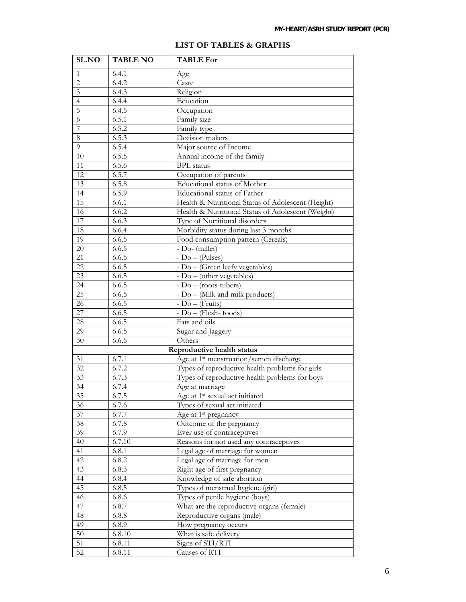| <b>SL.NO</b>    | <b>TABLE NO</b> | <b>TABLE For</b>                                     |
|-----------------|-----------------|------------------------------------------------------|
| $\mathbf{1}$    | 6.4.1           | Age                                                  |
| $\overline{2}$  | 6.4.2           | Caste                                                |
| $\overline{3}$  | 6.4.3           | Religion                                             |
| $\overline{4}$  | 6.4.4           | Education                                            |
| $\overline{5}$  | 6.4.5           | Occupation                                           |
| $\overline{6}$  | 6.5.1           | Family size                                          |
| $\overline{7}$  | 6.5.2           | Family type                                          |
| $8\,$           | 6.5.3           | Decision makers                                      |
| 9               | 6.5.4           | Major source of Income                               |
| $\overline{10}$ | 6.5.5           | Annual income of the family                          |
| 11              | 6.5.6           | <b>BPL</b> status                                    |
| 12              | 6.5.7           | Occupation of parents                                |
| 13              | 6.5.8           | Educational status of Mother                         |
| 14              | 6.5.9           | Educational status of Father                         |
| 15              | 6.6.1           | Health & Nutritional Status of Adolescent (Height)   |
| 16              | 6.6.2           | Health & Nutritional Status of Adolescent (Weight)   |
| $\overline{17}$ | 6.6.3           | Type of Nutritional disorders                        |
| 18              | 6.6.4           | Morbidity status during last 3 months                |
| 19              | 6.6.5           | Food consumption pattern (Cereals)                   |
| 20              | 6.6.5           | - Do- (millet)                                       |
| 21              | 6.6.5           | $-$ Do $-$ (Pulses)                                  |
| 22              | 6.6.5           | $\overline{-\mathrm{Do}}$ – (Green leafy vegetables) |
| $\overline{23}$ | 6.6.5           | $\overline{-\mathrm{Do}}$ – (other vegetables)       |
| 24              | 6.6.5           | $-$ Do $-$ (roots-tubers)                            |
| 25              | 6.6.5           | - Do - (Milk and milk products)                      |
| 26              | 6.6.5           | $-$ Do $-$ (Fruits)                                  |
| 27              | 6.6.5           | $-$ Do $-$ (Flesh-foods)                             |
| 28              | 6.6.5           | Fats and oils                                        |
| 29              | 6.6.5           | Sugar and Jaggery                                    |
| 30              | 6.6.5           | Others                                               |
|                 |                 | Reproductive health status                           |
| 31              | 6.7.1           | Age at 1 <sup>st</sup> menstruation/semen discharge  |
| 32              | 6.7.2           | Types of reproductive health problems for girls      |
| 33              | 6.7.3           | Types of reproductive health problems for boys       |
| 34              | 6.7.4           | Age at marriage                                      |
| 35              | 6.7.5           | Age at 1 <sup>st</sup> sexual act initiated          |
| 36              | 6.7.6           | Types of sexual act initiated                        |
| 37              | 6.7.7           | Age at 1 <sup>st</sup> pregnancy                     |
| $38\,$          | 6.7.8           | Outcome of the pregnancy                             |
| 39              | 6.7.9           | Ever use of contraceptives                           |
| 40              | 6.7.10          | Reasons for not used any contraceptives              |
| 41              | 6.8.1           | Legal age of marriage for women                      |
| 42              | 6.8.2           | Legal age of marriage for men                        |
| 43              | 6.8.3           | Right age of first pregnancy                         |
| 44              | 6.8.4           | Knowledge of safe abortion                           |
| 45              | 6.8.5           | Types of menstrual hygiene (girl)                    |
| $46\,$          | 6.8.6           | Types of penile hygiene (boys)                       |
| 47              | 6.8.7           | What are the reproductive organs (female)            |
| 48              | 6.8.8           | Reproductive organs (male)                           |
| 49              | 6.8.9           | How pregnancy occurs                                 |
| 50              | 6.8.10          | What is safe delivery                                |
| $\overline{51}$ | 6.8.11          | Signs of STI/RTI                                     |
| 52              | 6.8.11          | Causes of RTI                                        |

### **LIST OF TABLES & GRAPHS**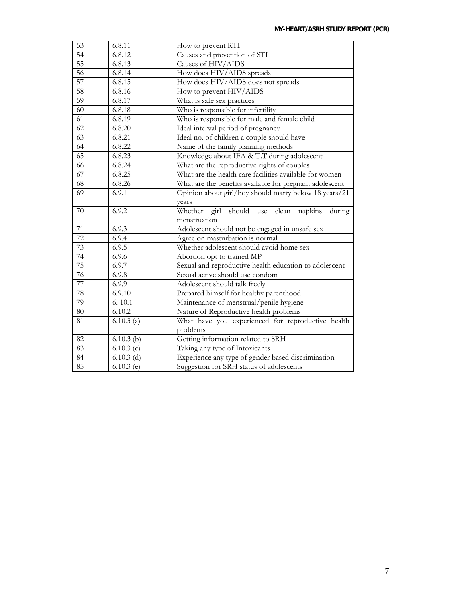| 53              | 6.8.11       | How to prevent RTI                                      |
|-----------------|--------------|---------------------------------------------------------|
| $\overline{54}$ | 6.8.12       | Causes and prevention of STI                            |
| 55              | 6.8.13       | Causes of HIV/AIDS                                      |
| 56              | 6.8.14       | How does HIV/AIDS spreads                               |
| 57              | 6.8.15       | How does HIV/AIDS does not spreads                      |
| $\overline{58}$ | 6.8.16       | How to prevent HIV/AIDS                                 |
| 59              | 6.8.17       | What is safe sex practices                              |
| 60              | 6.8.18       | Who is responsible for infertility                      |
| 61              | 6.8.19       | Who is responsible for male and female child            |
| 62              | 6.8.20       | Ideal interval period of pregnancy                      |
| 63              | 6.8.21       | Ideal no. of children a couple should have              |
| $\overline{64}$ | 6.8.22       | Name of the family planning methods                     |
| 65              | 6.8.23       | Knowledge about IFA & T.T during adolescent             |
| 66              | 6.8.24       | What are the reproductive rights of couples             |
| 67              | 6.8.25       | What are the health care facilities available for women |
| 68              | 6.8.26       | What are the benefits available for pregnant adolescent |
| 69              | 6.9.1        | Opinion about girl/boy should marry below 18 years/21   |
|                 |              | years                                                   |
| 70              | 6.9.2        | Whether girl should use clean<br>napkins<br>during      |
|                 |              | menstruation                                            |
| 71              | 6.9.3        | Adolescent should not be engaged in unsafe sex          |
| $\overline{72}$ | 6.9.4        | Agree on masturbation is normal                         |
| 73              | 6.9.5        | Whether adolescent should avoid home sex                |
| 74              | 6.9.6        | Abortion opt to trained MP                              |
| 75              | 6.9.7        | Sexual and reproductive health education to adolescent  |
| 76              | 6.9.8        | Sexual active should use condom                         |
| 77              | 6.9.9        | Adolescent should talk freely                           |
| 78              | 6.9.10       | Prepared himself for healthy parenthood                 |
| 79              | 6.10.1       | Maintenance of menstrual/penile hygiene                 |
| 80              | 6.10.2       | Nature of Reproductive health problems                  |
| 81              | $6.10.3$ (a) | What have you experienced for reproductive health       |
|                 |              | problems                                                |
| 82              | $6.10.3$ (b) | Getting information related to SRH                      |
| 83              |              |                                                         |
|                 | 6.10.3 (c)   | Taking any type of Intoxicants                          |
| 84              | $6.10.3$ (d) | Experience any type of gender based discrimination      |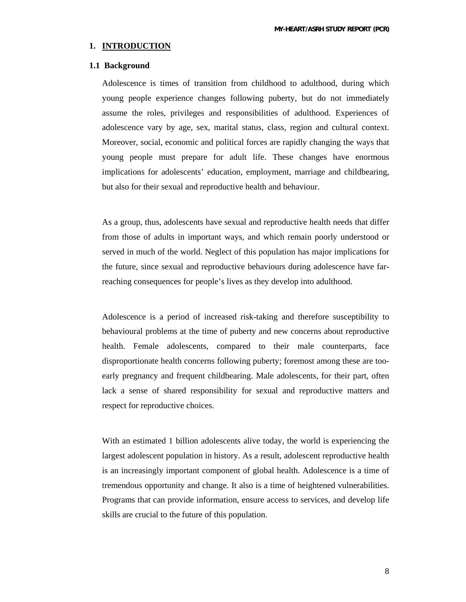#### **1. INTRODUCTION**

#### **1.1 Background**

Adolescence is times of transition from childhood to adulthood, during which young people experience changes following puberty, but do not immediately assume the roles, privileges and responsibilities of adulthood. Experiences of adolescence vary by age, sex, marital status, class, region and cultural context. Moreover, social, economic and political forces are rapidly changing the ways that young people must prepare for adult life. These changes have enormous implications for adolescents' education, employment, marriage and childbearing, but also for their sexual and reproductive health and behaviour.

As a group, thus, adolescents have sexual and reproductive health needs that differ from those of adults in important ways, and which remain poorly understood or served in much of the world. Neglect of this population has major implications for the future, since sexual and reproductive behaviours during adolescence have farreaching consequences for people's lives as they develop into adulthood.

Adolescence is a period of increased risk-taking and therefore susceptibility to behavioural problems at the time of puberty and new concerns about reproductive health. Female adolescents, compared to their male counterparts, face disproportionate health concerns following puberty; foremost among these are tooearly pregnancy and frequent childbearing. Male adolescents, for their part, often lack a sense of shared responsibility for sexual and reproductive matters and respect for reproductive choices.

With an estimated 1 billion adolescents alive today, the world is experiencing the largest adolescent population in history. As a result, adolescent reproductive health is an increasingly important component of global health. Adolescence is a time of tremendous opportunity and change. It also is a time of heightened vulnerabilities. Programs that can provide information, ensure access to services, and develop life skills are crucial to the future of this population.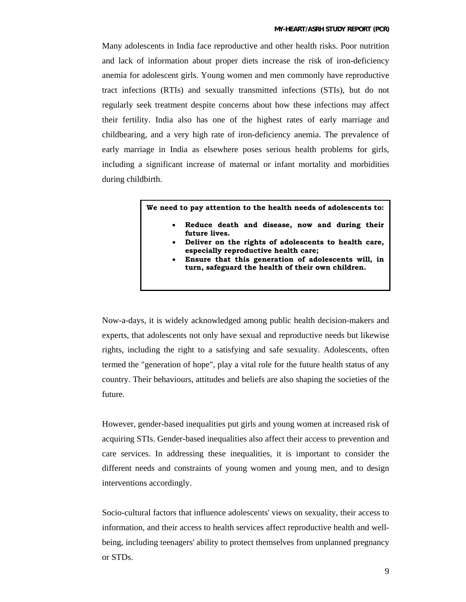Many adolescents in India face reproductive and other health risks. Poor nutrition and lack of information about proper diets increase the risk of iron-deficiency anemia for adolescent girls. Young women and men commonly have reproductive tract infections (RTIs) and sexually transmitted infections (STIs), but do not regularly seek treatment despite concerns about how these infections may affect their fertility. India also has one of the highest rates of early marriage and childbearing, and a very high rate of iron-deficiency anemia. The prevalence of early marriage in India as elsewhere poses serious health problems for girls, including a significant increase of maternal or infant mortality and morbidities during childbirth.

#### **We need to pay attention to the health needs of adolescents to:**

- **Reduce death and disease, now and during their future lives.**
- **Deliver on the rights of adolescents to health care, especially reproductive health care;**
- **Ensure that this generation of adolescents will, in turn, safeguard the health of their own children.**

Now-a-days, it is widely acknowledged among public health decision-makers and experts, that adolescents not only have sexual and reproductive needs but likewise rights, including the right to a satisfying and safe sexuality. Adolescents, often termed the "generation of hope", play a vital role for the future health status of any country. Their behaviours, attitudes and beliefs are also shaping the societies of the future.

However, gender-based inequalities put girls and young women at increased risk of acquiring STIs. Gender-based inequalities also affect their access to prevention and care services. In addressing these inequalities, it is important to consider the different needs and constraints of young women and young men, and to design interventions accordingly.

Socio-cultural factors that influence adolescents' views on sexuality, their access to information, and their access to health services affect reproductive health and wellbeing, including teenagers' ability to protect themselves from unplanned pregnancy or STDs.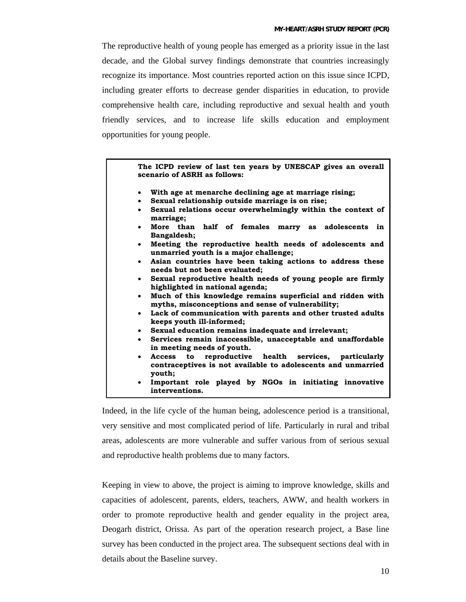The reproductive health of young people has emerged as a priority issue in the last decade, and the Global survey findings demonstrate that countries increasingly recognize its importance. Most countries reported action on this issue since ICPD, including greater efforts to decrease gender disparities in education, to provide comprehensive health care, including reproductive and sexual health and youth friendly services, and to increase life skills education and employment opportunities for young people.

> **The ICPD review of last ten years by UNESCAP gives an overall scenario of ASRH as follows:**

- **With age at menarche declining age at marriage rising;**
- **Sexual relationship outside marriage is on rise;**
- **Sexual relations occur overwhelmingly within the context of marriage;**
- **More than half of females marry as adolescents in Bangaldesh;**
- **Meeting the reproductive health needs of adolescents and unmarried youth is a major challenge;**
- **Asian countries have been taking actions to address these needs but not been evaluated;**
- **Sexual reproductive health needs of young people are firmly highlighted in national agenda;**
- **Much of this knowledge remains superficial and ridden with myths, misconceptions and sense of vulnerability;**
- **Lack of communication with parents and other trusted adults keeps youth ill-informed;**
- **Sexual education remains inadequate and irrelevant;**
- **Services remain inaccessible, unacceptable and unaffordable in meeting needs of youth.**
- **Access to reproductive health services, particularly contraceptives is not available to adolescents and unmarried youth;**
- **Important role played by NGOs in initiating innovative interventions.**

Indeed, in the life cycle of the human being, adolescence period is a transitional, very sensitive and most complicated period of life. Particularly in rural and tribal areas, adolescents are more vulnerable and suffer various from of serious sexual and reproductive health problems due to many factors.

Keeping in view to above, the project is aiming to improve knowledge, skills and capacities of adolescent, parents, elders, teachers, AWW, and health workers in order to promote reproductive health and gender equality in the project area, Deogarh district, Orissa. As part of the operation research project, a Base line survey has been conducted in the project area. The subsequent sections deal with in details about the Baseline survey.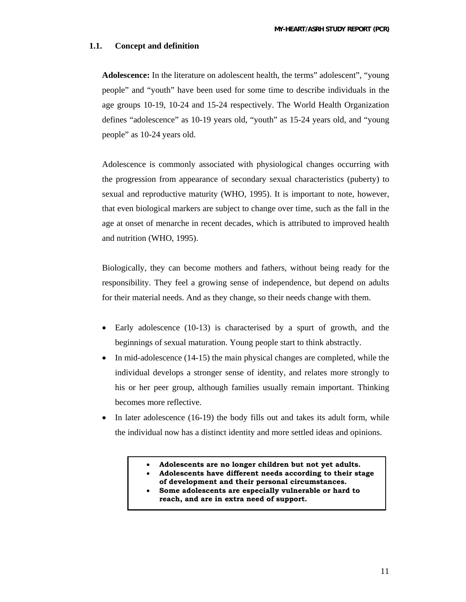### **1.1. Concept and definition**

**Adolescence:** In the literature on adolescent health, the terms" adolescent", "young people" and "youth" have been used for some time to describe individuals in the age groups 10-19, 10-24 and 15-24 respectively. The World Health Organization defines "adolescence" as 10-19 years old, "youth" as 15-24 years old, and "young people" as 10-24 years old.

Adolescence is commonly associated with physiological changes occurring with the progression from appearance of secondary sexual characteristics (puberty) to sexual and reproductive maturity (WHO, 1995). It is important to note, however, that even biological markers are subject to change over time, such as the fall in the age at onset of menarche in recent decades, which is attributed to improved health and nutrition (WHO, 1995).

Biologically, they can become mothers and fathers, without being ready for the responsibility. They feel a growing sense of independence, but depend on adults for their material needs. And as they change, so their needs change with them.

- Early adolescence (10-13) is characterised by a spurt of growth, and the beginnings of sexual maturation. Young people start to think abstractly.
- In mid-adolescence (14-15) the main physical changes are completed, while the individual develops a stronger sense of identity, and relates more strongly to his or her peer group, although families usually remain important. Thinking becomes more reflective.
- In later adolescence (16-19) the body fills out and takes its adult form, while the individual now has a distinct identity and more settled ideas and opinions.
	- **Adolescents are no longer children but not yet adults.**
	- **Adolescents have different needs according to their stage of development and their personal circumstances.**
	- **Some adolescents are especially vulnerable or hard to reach, and are in extra need of support.**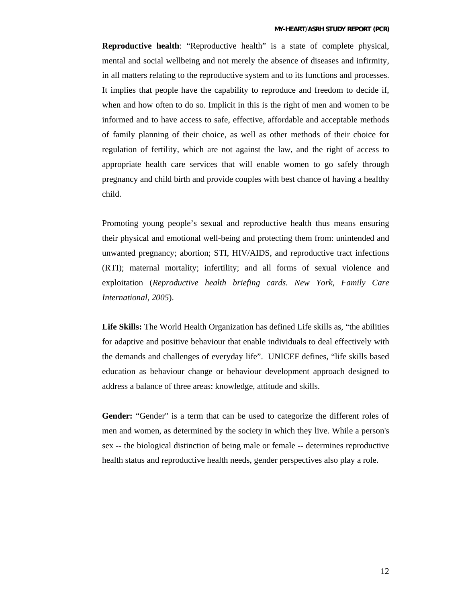**Reproductive health**: "Reproductive health" is a state of complete physical, mental and social wellbeing and not merely the absence of diseases and infirmity, in all matters relating to the reproductive system and to its functions and processes. It implies that people have the capability to reproduce and freedom to decide if, when and how often to do so. Implicit in this is the right of men and women to be informed and to have access to safe, effective, affordable and acceptable methods of family planning of their choice, as well as other methods of their choice for regulation of fertility, which are not against the law, and the right of access to appropriate health care services that will enable women to go safely through pregnancy and child birth and provide couples with best chance of having a healthy child.

Promoting young people's sexual and reproductive health thus means ensuring their physical and emotional well-being and protecting them from: unintended and unwanted pregnancy; abortion; STI, HIV/AIDS, and reproductive tract infections (RTI); maternal mortality; infertility; and all forms of sexual violence and exploitation (*Reproductive health briefing cards. New York, Family Care International, 2005*).

**Life Skills:** The World Health Organization has defined Life skills as, "the abilities for adaptive and positive behaviour that enable individuals to deal effectively with the demands and challenges of everyday life". UNICEF defines, "life skills based education as behaviour change or behaviour development approach designed to address a balance of three areas: knowledge, attitude and skills.

**Gender:** "Gender" is a term that can be used to categorize the different roles of men and women, as determined by the society in which they live. While a person's sex -- the biological distinction of being male or female -- determines reproductive health status and reproductive health needs, gender perspectives also play a role.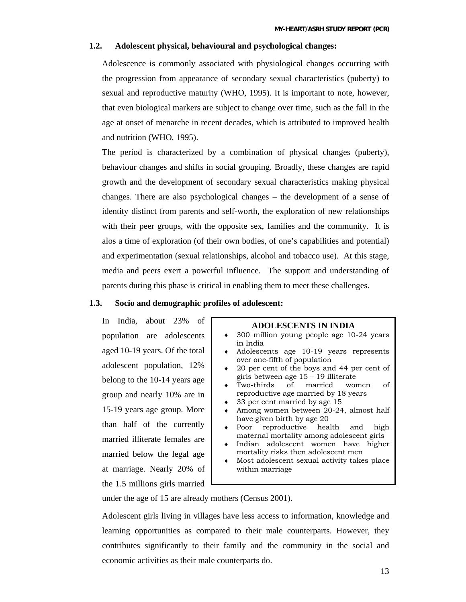### **1.2. Adolescent physical, behavioural and psychological changes:**

Adolescence is commonly associated with physiological changes occurring with the progression from appearance of secondary sexual characteristics (puberty) to sexual and reproductive maturity (WHO, 1995). It is important to note, however, that even biological markers are subject to change over time, such as the fall in the age at onset of menarche in recent decades, which is attributed to improved health and nutrition (WHO, 1995).

The period is characterized by a combination of physical changes (puberty), behaviour changes and shifts in social grouping. Broadly, these changes are rapid growth and the development of secondary sexual characteristics making physical changes. There are also psychological changes – the development of a sense of identity distinct from parents and self-worth, the exploration of new relationships with their peer groups, with the opposite sex, families and the community. It is alos a time of exploration (of their own bodies, of one's capabilities and potential) and experimentation (sexual relationships, alcohol and tobacco use). At this stage, media and peers exert a powerful influence. The support and understanding of parents during this phase is critical in enabling them to meet these challenges.

### **1.3. Socio and demographic profiles of adolescent:**

In India, about 23% of population are adolescents aged 10-19 years. Of the total adolescent population, 12% belong to the 10-14 years age group and nearly 10% are in 15-19 years age group. More than half of the currently married illiterate females are married below the legal age at marriage. Nearly 20% of the 1.5 millions girls married

#### **ADOLESCENTS IN INDIA**

- ♦ 300 million young people age 10-24 years in India
- Adolescents age 10-19 years represents over one-fifth of population
- 20 per cent of the boys and 44 per cent of girls between age 15 – 19 illiterate
- Two-thirds of married women of reproductive age married by 18 years
- 33 per cent married by age 15
- Among women between 20-24, almost half have given birth by age 20
- Poor reproductive health and high maternal mortality among adolescent girls
- Indian adolescent women have higher mortality risks then adolescent men
- Most adolescent sexual activity takes place within marriage

under the age of 15 are already mothers (Census 2001).

Adolescent girls living in villages have less access to information, knowledge and learning opportunities as compared to their male counterparts. However, they contributes significantly to their family and the community in the social and economic activities as their male counterparts do.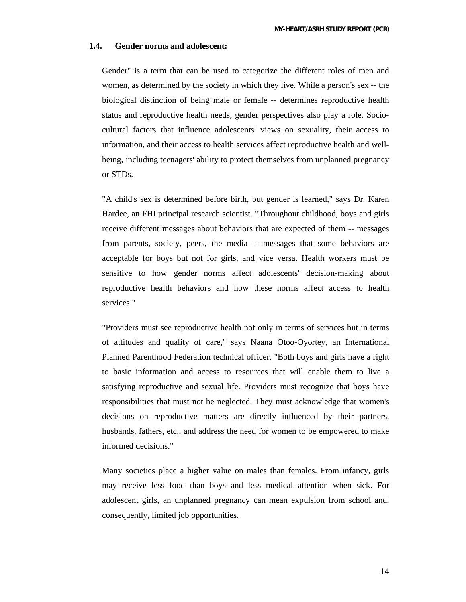### **1.4. Gender norms and adolescent:**

Gender" is a term that can be used to categorize the different roles of men and women, as determined by the society in which they live. While a person's sex -- the biological distinction of being male or female -- determines reproductive health status and reproductive health needs, gender perspectives also play a role. Sociocultural factors that influence adolescents' views on sexuality, their access to information, and their access to health services affect reproductive health and wellbeing, including teenagers' ability to protect themselves from unplanned pregnancy or STDs.

"A child's sex is determined before birth, but gender is learned," says Dr. Karen Hardee, an FHI principal research scientist. "Throughout childhood, boys and girls receive different messages about behaviors that are expected of them -- messages from parents, society, peers, the media -- messages that some behaviors are acceptable for boys but not for girls, and vice versa. Health workers must be sensitive to how gender norms affect adolescents' decision-making about reproductive health behaviors and how these norms affect access to health services."

"Providers must see reproductive health not only in terms of services but in terms of attitudes and quality of care," says Naana Otoo-Oyortey, an International Planned Parenthood Federation technical officer. "Both boys and girls have a right to basic information and access to resources that will enable them to live a satisfying reproductive and sexual life. Providers must recognize that boys have responsibilities that must not be neglected. They must acknowledge that women's decisions on reproductive matters are directly influenced by their partners, husbands, fathers, etc., and address the need for women to be empowered to make informed decisions."

Many societies place a higher value on males than females. From infancy, girls may receive less food than boys and less medical attention when sick. For adolescent girls, an unplanned pregnancy can mean expulsion from school and, consequently, limited job opportunities.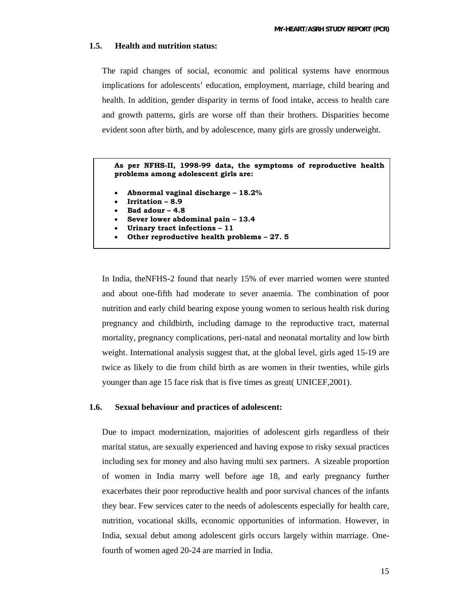### **1.5. Health and nutrition status:**

The rapid changes of social, economic and political systems have enormous implications for adolescents' education, employment, marriage, child bearing and health. In addition, gender disparity in terms of food intake, access to health care and growth patterns, girls are worse off than their brothers. Disparities become evident soon after birth, and by adolescence, many girls are grossly underweight.

**As per NFHS-II, 1998-99 data, the symptoms of reproductive health problems among adolescent girls are:** 

- **Abnormal vaginal discharge 18.2%**
- **Irritation 8.9**
- **Bad adour 4.8**
- **Sever lower abdominal pain 13.4**
- **Urinary tract infections 11**
- **Other reproductive health problems 27. 5**

In India, theNFHS-2 found that nearly 15% of ever married women were stunted and about one-fifth had moderate to sever anaemia. The combination of poor nutrition and early child bearing expose young women to serious health risk during pregnancy and childbirth, including damage to the reproductive tract, maternal mortality, pregnancy complications, peri-natal and neonatal mortality and low birth weight. International analysis suggest that, at the global level, girls aged 15-19 are twice as likely to die from child birth as are women in their twenties, while girls younger than age 15 face risk that is five times as great( UNICEF,2001).

#### **1.6. Sexual behaviour and practices of adolescent:**

Due to impact modernization, majorities of adolescent girls regardless of their marital status, are sexually experienced and having expose to risky sexual practices including sex for money and also having multi sex partners. A sizeable proportion of women in India marry well before age 18, and early pregnancy further exacerbates their poor reproductive health and poor survival chances of the infants they bear. Few services cater to the needs of adolescents especially for health care, nutrition, vocational skills, economic opportunities of information. However, in India, sexual debut among adolescent girls occurs largely within marriage. Onefourth of women aged 20-24 are married in India.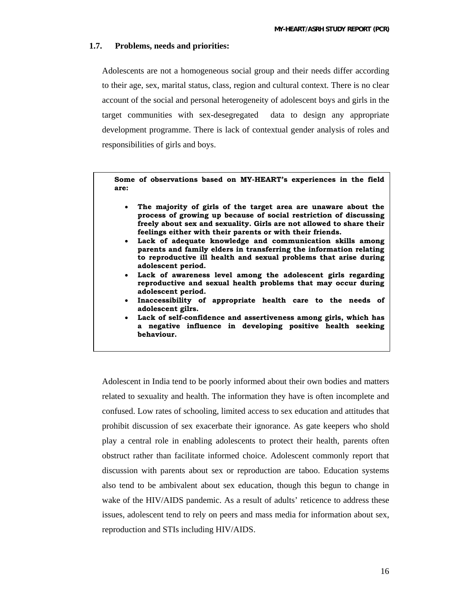#### **1.7. Problems, needs and priorities:**

Adolescents are not a homogeneous social group and their needs differ according to their age, sex, marital status, class, region and cultural context. There is no clear account of the social and personal heterogeneity of adolescent boys and girls in the target communities with sex-desegregated data to design any appropriate development programme. There is lack of contextual gender analysis of roles and responsibilities of girls and boys.

**Some of observations based on MY-HEART's experiences in the field are:** 

- **The majority of girls of the target area are unaware about the process of growing up because of social restriction of discussing freely about sex and sexuality. Girls are not allowed to share their feelings either with their parents or with their friends.**
- Lack of adequate knowledge and communication skills among **parents and family elders in transferring the information relating to reproductive ill health and sexual problems that arise during adolescent period.**
- **Lack of awareness level among the adolescent girls regarding reproductive and sexual health problems that may occur during adolescent period.**
- **Inaccessibility of appropriate health care to the needs of adolescent gilrs.**
- **Lack of self-confidence and assertiveness among girls, which has a negative influence in developing positive health seeking behaviour.**

Adolescent in India tend to be poorly informed about their own bodies and matters related to sexuality and health. The information they have is often incomplete and confused. Low rates of schooling, limited access to sex education and attitudes that prohibit discussion of sex exacerbate their ignorance. As gate keepers who shold play a central role in enabling adolescents to protect their health, parents often obstruct rather than facilitate informed choice. Adolescent commonly report that discussion with parents about sex or reproduction are taboo. Education systems also tend to be ambivalent about sex education, though this begun to change in wake of the HIV/AIDS pandemic. As a result of adults' reticence to address these issues, adolescent tend to rely on peers and mass media for information about sex, reproduction and STIs including HIV/AIDS.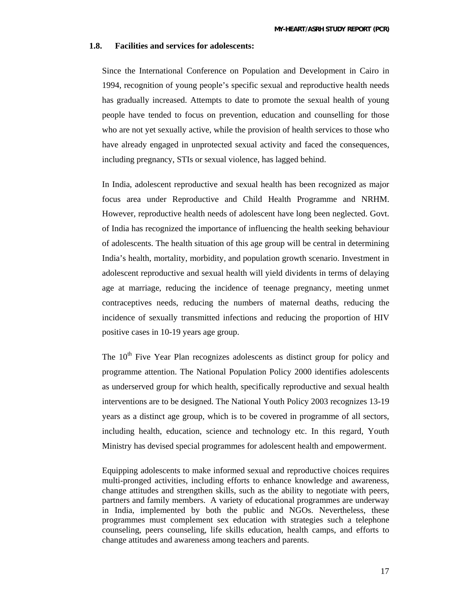### **1.8. Facilities and services for adolescents:**

Since the International Conference on Population and Development in Cairo in 1994, recognition of young people's specific sexual and reproductive health needs has gradually increased. Attempts to date to promote the sexual health of young people have tended to focus on prevention, education and counselling for those who are not yet sexually active, while the provision of health services to those who have already engaged in unprotected sexual activity and faced the consequences, including pregnancy, STIs or sexual violence, has lagged behind.

In India, adolescent reproductive and sexual health has been recognized as major focus area under Reproductive and Child Health Programme and NRHM. However, reproductive health needs of adolescent have long been neglected. Govt. of India has recognized the importance of influencing the health seeking behaviour of adolescents. The health situation of this age group will be central in determining India's health, mortality, morbidity, and population growth scenario. Investment in adolescent reproductive and sexual health will yield dividents in terms of delaying age at marriage, reducing the incidence of teenage pregnancy, meeting unmet contraceptives needs, reducing the numbers of maternal deaths, reducing the incidence of sexually transmitted infections and reducing the proportion of HIV positive cases in 10-19 years age group.

The 10<sup>th</sup> Five Year Plan recognizes adolescents as distinct group for policy and programme attention. The National Population Policy 2000 identifies adolescents as underserved group for which health, specifically reproductive and sexual health interventions are to be designed. The National Youth Policy 2003 recognizes 13-19 years as a distinct age group, which is to be covered in programme of all sectors, including health, education, science and technology etc. In this regard, Youth Ministry has devised special programmes for adolescent health and empowerment.

Equipping adolescents to make informed sexual and reproductive choices requires multi-pronged activities, including efforts to enhance knowledge and awareness, change attitudes and strengthen skills, such as the ability to negotiate with peers, partners and family members. A variety of educational programmes are underway in India, implemented by both the public and NGOs. Nevertheless, these programmes must complement sex education with strategies such a telephone counseling, peers counseling, life skills education, health camps, and efforts to change attitudes and awareness among teachers and parents.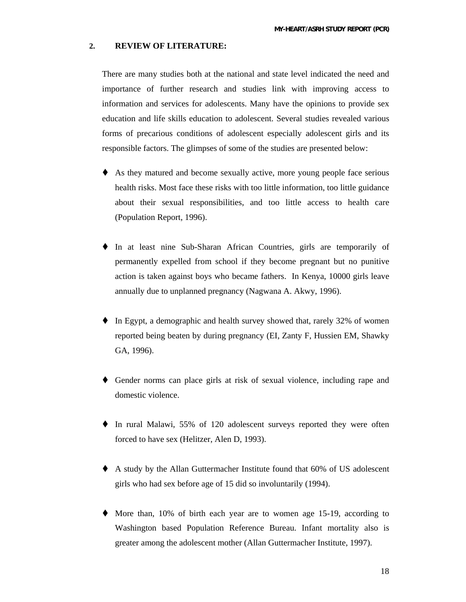### **2. REVIEW OF LITERATURE:**

There are many studies both at the national and state level indicated the need and importance of further research and studies link with improving access to information and services for adolescents. Many have the opinions to provide sex education and life skills education to adolescent. Several studies revealed various forms of precarious conditions of adolescent especially adolescent girls and its responsible factors. The glimpses of some of the studies are presented below:

- As they matured and become sexually active, more young people face serious health risks. Most face these risks with too little information, too little guidance about their sexual responsibilities, and too little access to health care (Population Report, 1996).
- In at least nine Sub-Sharan African Countries, girls are temporarily of permanently expelled from school if they become pregnant but no punitive action is taken against boys who became fathers. In Kenya, 10000 girls leave annually due to unplanned pregnancy (Nagwana A. Akwy, 1996).
- In Egypt, a demographic and health survey showed that, rarely 32% of women reported being beaten by during pregnancy (EI, Zanty F, Hussien EM, Shawky GA, 1996).
- Gender norms can place girls at risk of sexual violence, including rape and domestic violence.
- In rural Malawi, 55% of 120 adolescent surveys reported they were often forced to have sex (Helitzer, Alen D, 1993).
- A study by the Allan Guttermacher Institute found that 60% of US adolescent girls who had sex before age of 15 did so involuntarily (1994).
- More than, 10% of birth each year are to women age 15-19, according to Washington based Population Reference Bureau. Infant mortality also is greater among the adolescent mother (Allan Guttermacher Institute, 1997).

18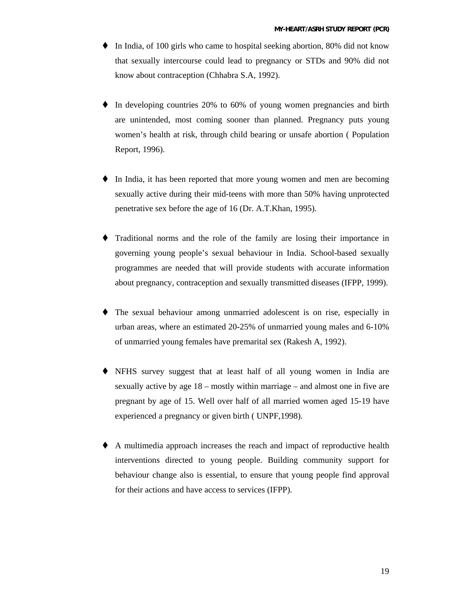- In India, of 100 girls who came to hospital seeking abortion, 80% did not know that sexually intercourse could lead to pregnancy or STDs and 90% did not know about contraception (Chhabra S.A, 1992).
- In developing countries 20% to 60% of young women pregnancies and birth are unintended, most coming sooner than planned. Pregnancy puts young women's health at risk, through child bearing or unsafe abortion ( Population Report, 1996).
- In India, it has been reported that more young women and men are becoming sexually active during their mid-teens with more than 50% having unprotected penetrative sex before the age of 16 (Dr. A.T.Khan, 1995).
- Traditional norms and the role of the family are losing their importance in governing young people's sexual behaviour in India. School-based sexually programmes are needed that will provide students with accurate information about pregnancy, contraception and sexually transmitted diseases (IFPP, 1999).
- The sexual behaviour among unmarried adolescent is on rise, especially in urban areas, where an estimated 20-25% of unmarried young males and 6-10% of unmarried young females have premarital sex (Rakesh A, 1992).
- NFHS survey suggest that at least half of all young women in India are sexually active by age 18 – mostly within marriage – and almost one in five are pregnant by age of 15. Well over half of all married women aged 15-19 have experienced a pregnancy or given birth ( UNPF,1998).
- A multimedia approach increases the reach and impact of reproductive health interventions directed to young people. Building community support for behaviour change also is essential, to ensure that young people find approval for their actions and have access to services (IFPP).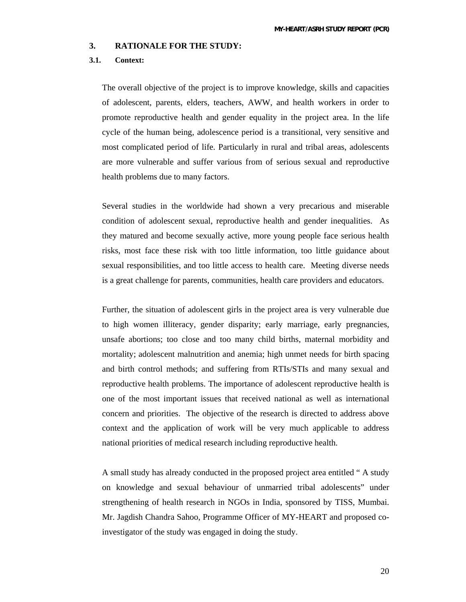### **3. RATIONALE FOR THE STUDY:**

#### **3.1. Context:**

The overall objective of the project is to improve knowledge, skills and capacities of adolescent, parents, elders, teachers, AWW, and health workers in order to promote reproductive health and gender equality in the project area. In the life cycle of the human being, adolescence period is a transitional, very sensitive and most complicated period of life. Particularly in rural and tribal areas, adolescents are more vulnerable and suffer various from of serious sexual and reproductive health problems due to many factors.

Several studies in the worldwide had shown a very precarious and miserable condition of adolescent sexual, reproductive health and gender inequalities. As they matured and become sexually active, more young people face serious health risks, most face these risk with too little information, too little guidance about sexual responsibilities, and too little access to health care. Meeting diverse needs is a great challenge for parents, communities, health care providers and educators.

Further, the situation of adolescent girls in the project area is very vulnerable due to high women illiteracy, gender disparity; early marriage, early pregnancies, unsafe abortions; too close and too many child births, maternal morbidity and mortality; adolescent malnutrition and anemia; high unmet needs for birth spacing and birth control methods; and suffering from RTIs/STIs and many sexual and reproductive health problems. The importance of adolescent reproductive health is one of the most important issues that received national as well as international concern and priorities. The objective of the research is directed to address above context and the application of work will be very much applicable to address national priorities of medical research including reproductive health.

A small study has already conducted in the proposed project area entitled " A study on knowledge and sexual behaviour of unmarried tribal adolescents" under strengthening of health research in NGOs in India, sponsored by TISS, Mumbai. Mr. Jagdish Chandra Sahoo, Programme Officer of MY-HEART and proposed coinvestigator of the study was engaged in doing the study.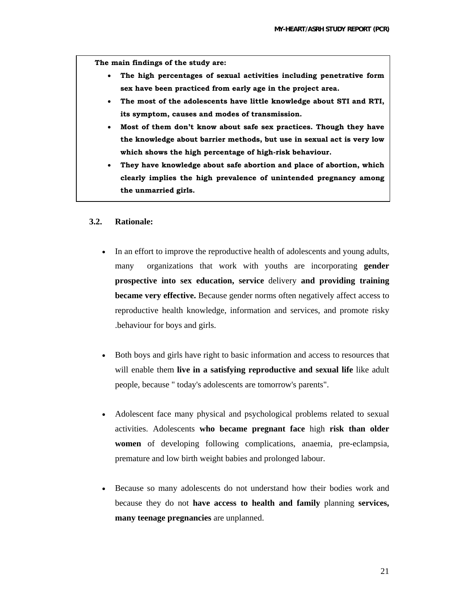**The main findings of the study are:** 

- **The high percentages of sexual activities including penetrative form sex have been practiced from early age in the project area.**
- **The most of the adolescents have little knowledge about STI and RTI, its symptom, causes and modes of transmission.**
- **Most of them don't know about safe sex practices. Though they have the knowledge about barrier methods, but use in sexual act is very low which shows the high percentage of high-risk behaviour.**
- **They have knowledge about safe abortion and place of abortion, which clearly implies the high prevalence of unintended pregnancy among the unmarried girls.**

### **3.2. Rationale:**

- In an effort to improve the reproductive health of adolescents and young adults, many organizations that work with youths are incorporating **gender prospective into sex education, service** delivery **and providing training became very effective.** Because gender norms often negatively affect access to reproductive health knowledge, information and services, and promote risky .behaviour for boys and girls.
- Both boys and girls have right to basic information and access to resources that will enable them **live in a satisfying reproductive and sexual life** like adult people, because " today's adolescents are tomorrow's parents".
- Adolescent face many physical and psychological problems related to sexual activities. Adolescents **who became pregnant face** high **risk than older women** of developing following complications, anaemia, pre-eclampsia, premature and low birth weight babies and prolonged labour.
- Because so many adolescents do not understand how their bodies work and because they do not **have access to health and family** planning **services, many teenage pregnancies** are unplanned.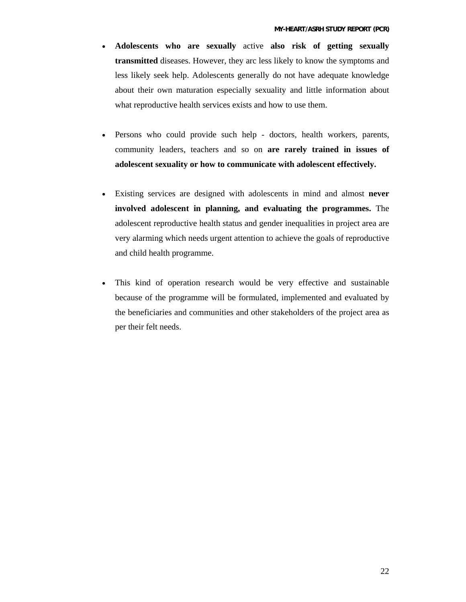- **Adolescents who are sexually** active **also risk of getting sexually transmitted** diseases. However, they arc less likely to know the symptoms and less likely seek help. Adolescents generally do not have adequate knowledge about their own maturation especially sexuality and little information about what reproductive health services exists and how to use them.
- Persons who could provide such help doctors, health workers, parents, community leaders, teachers and so on **are rarely trained in issues of adolescent sexuality or how to communicate with adolescent effectively.**
- Existing services are designed with adolescents in mind and almost **never involved adolescent in planning, and evaluating the programmes.** The adolescent reproductive health status and gender inequalities in project area are very alarming which needs urgent attention to achieve the goals of reproductive and child health programme.
- This kind of operation research would be very effective and sustainable because of the programme will be formulated, implemented and evaluated by the beneficiaries and communities and other stakeholders of the project area as per their felt needs.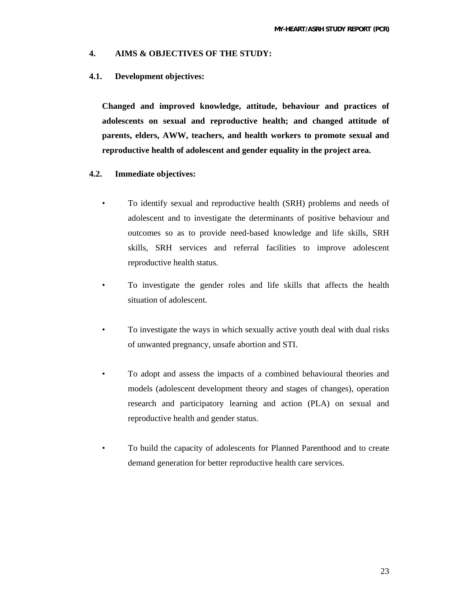### **4. AIMS & OBJECTIVES OF THE STUDY:**

### **4.1. Development objectives:**

**Changed and improved knowledge, attitude, behaviour and practices of adolescents on sexual and reproductive health; and changed attitude of parents, elders, AWW, teachers, and health workers to promote sexual and reproductive health of adolescent and gender equality in the project area.** 

### **4.2. Immediate objectives:**

- To identify sexual and reproductive health (SRH) problems and needs of adolescent and to investigate the determinants of positive behaviour and outcomes so as to provide need-based knowledge and life skills, SRH skills, SRH services and referral facilities to improve adolescent reproductive health status.
- To investigate the gender roles and life skills that affects the health situation of adolescent.
- To investigate the ways in which sexually active youth deal with dual risks of unwanted pregnancy, unsafe abortion and STI.
- To adopt and assess the impacts of a combined behavioural theories and models (adolescent development theory and stages of changes), operation research and participatory learning and action (PLA) on sexual and reproductive health and gender status.
- To build the capacity of adolescents for Planned Parenthood and to create demand generation for better reproductive health care services.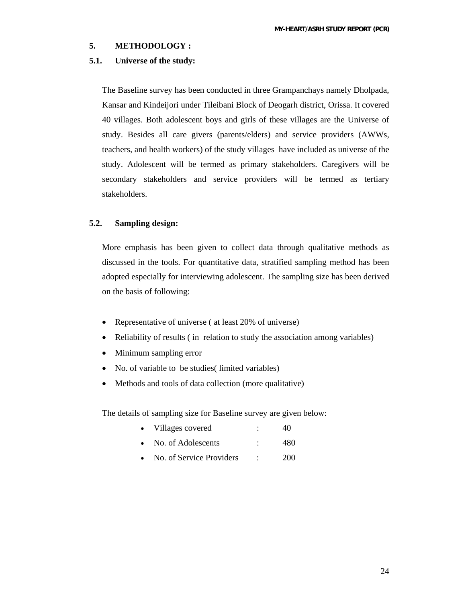### **5. METHODOLOGY :**

### **5.1. Universe of the study:**

The Baseline survey has been conducted in three Grampanchays namely Dholpada, Kansar and Kindeijori under Tileibani Block of Deogarh district, Orissa. It covered 40 villages. Both adolescent boys and girls of these villages are the Universe of study. Besides all care givers (parents/elders) and service providers (AWWs, teachers, and health workers) of the study villages have included as universe of the study. Adolescent will be termed as primary stakeholders. Caregivers will be secondary stakeholders and service providers will be termed as tertiary stakeholders.

### **5.2. Sampling design:**

More emphasis has been given to collect data through qualitative methods as discussed in the tools. For quantitative data, stratified sampling method has been adopted especially for interviewing adolescent. The sampling size has been derived on the basis of following:

- Representative of universe (at least 20% of universe)
- Reliability of results (in relation to study the association among variables)
- Minimum sampling error
- No. of variable to be studies (limited variables)
- Methods and tools of data collection (more qualitative)

The details of sampling size for Baseline survey are given below:

- Villages covered : 40
- No. of Adolescents : 480
- No. of Service Providers : 200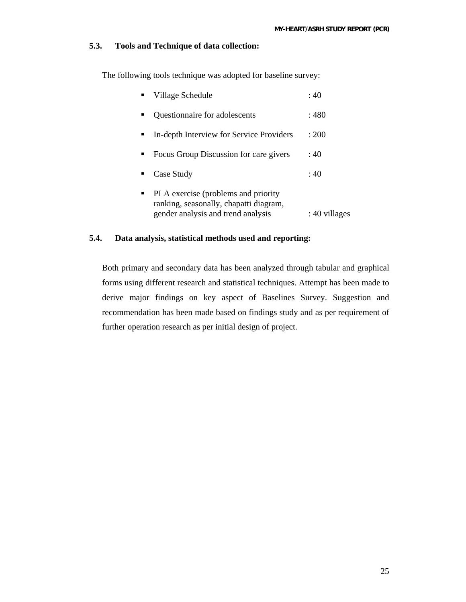### **5.3. Tools and Technique of data collection:**

The following tools technique was adopted for baseline survey:

| Village Schedule                                                                                                    | $\cdot$ 40    |
|---------------------------------------------------------------------------------------------------------------------|---------------|
| Questionnaire for adolescents                                                                                       | : 480         |
| In-depth Interview for Service Providers                                                                            | : 200         |
| Focus Group Discussion for care givers                                                                              | :40           |
| Case Study                                                                                                          | :40           |
| PLA exercise (problems and priority<br>ranking, seasonally, chapatti diagram,<br>gender analysis and trend analysis | : 40 villages |

### **5.4. Data analysis, statistical methods used and reporting:**

Both primary and secondary data has been analyzed through tabular and graphical forms using different research and statistical techniques. Attempt has been made to derive major findings on key aspect of Baselines Survey. Suggestion and recommendation has been made based on findings study and as per requirement of further operation research as per initial design of project.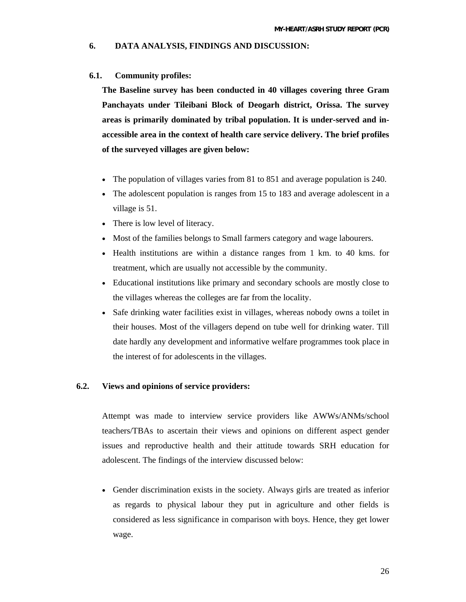### **6. DATA ANALYSIS, FINDINGS AND DISCUSSION:**

### **6.1. Community profiles:**

**The Baseline survey has been conducted in 40 villages covering three Gram Panchayats under Tileibani Block of Deogarh district, Orissa. The survey areas is primarily dominated by tribal population. It is under-served and inaccessible area in the context of health care service delivery. The brief profiles of the surveyed villages are given below:** 

- The population of villages varies from 81 to 851 and average population is 240.
- The adolescent population is ranges from 15 to 183 and average adolescent in a village is 51.
- There is low level of literacy.
- Most of the families belongs to Small farmers category and wage labourers.
- Health institutions are within a distance ranges from 1 km. to 40 kms. for treatment, which are usually not accessible by the community.
- Educational institutions like primary and secondary schools are mostly close to the villages whereas the colleges are far from the locality.
- Safe drinking water facilities exist in villages, whereas nobody owns a toilet in their houses. Most of the villagers depend on tube well for drinking water. Till date hardly any development and informative welfare programmes took place in the interest of for adolescents in the villages.

### **6.2. Views and opinions of service providers:**

Attempt was made to interview service providers like AWWs/ANMs/school teachers/TBAs to ascertain their views and opinions on different aspect gender issues and reproductive health and their attitude towards SRH education for adolescent. The findings of the interview discussed below:

• Gender discrimination exists in the society. Always girls are treated as inferior as regards to physical labour they put in agriculture and other fields is considered as less significance in comparison with boys. Hence, they get lower wage.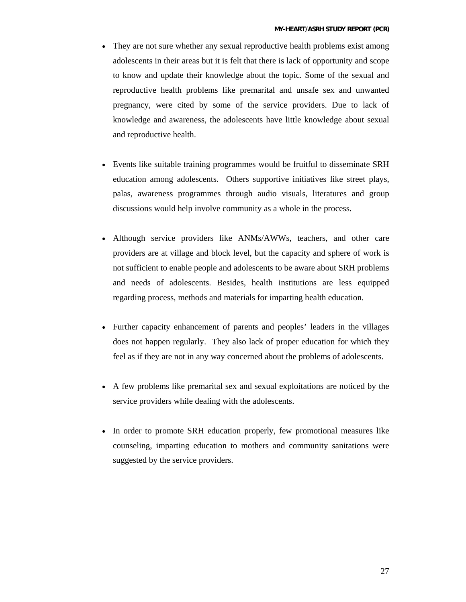- They are not sure whether any sexual reproductive health problems exist among adolescents in their areas but it is felt that there is lack of opportunity and scope to know and update their knowledge about the topic. Some of the sexual and reproductive health problems like premarital and unsafe sex and unwanted pregnancy, were cited by some of the service providers. Due to lack of knowledge and awareness, the adolescents have little knowledge about sexual and reproductive health.
- Events like suitable training programmes would be fruitful to disseminate SRH education among adolescents. Others supportive initiatives like street plays, palas, awareness programmes through audio visuals, literatures and group discussions would help involve community as a whole in the process.
- Although service providers like ANMs/AWWs, teachers, and other care providers are at village and block level, but the capacity and sphere of work is not sufficient to enable people and adolescents to be aware about SRH problems and needs of adolescents. Besides, health institutions are less equipped regarding process, methods and materials for imparting health education.
- Further capacity enhancement of parents and peoples' leaders in the villages does not happen regularly. They also lack of proper education for which they feel as if they are not in any way concerned about the problems of adolescents.
- A few problems like premarital sex and sexual exploitations are noticed by the service providers while dealing with the adolescents.
- In order to promote SRH education properly, few promotional measures like counseling, imparting education to mothers and community sanitations were suggested by the service providers.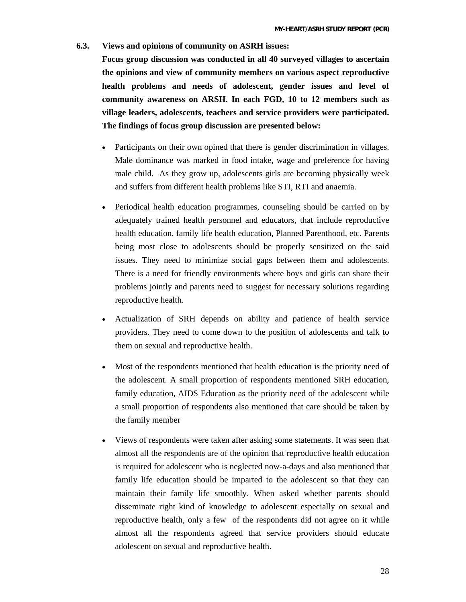### **6.3. Views and opinions of community on ASRH issues:**

**Focus group discussion was conducted in all 40 surveyed villages to ascertain the opinions and view of community members on various aspect reproductive health problems and needs of adolescent, gender issues and level of community awareness on ARSH. In each FGD, 10 to 12 members such as village leaders, adolescents, teachers and service providers were participated. The findings of focus group discussion are presented below:** 

- Participants on their own opined that there is gender discrimination in villages. Male dominance was marked in food intake, wage and preference for having male child. As they grow up, adolescents girls are becoming physically week and suffers from different health problems like STI, RTI and anaemia.
- Periodical health education programmes, counseling should be carried on by adequately trained health personnel and educators, that include reproductive health education, family life health education, Planned Parenthood, etc. Parents being most close to adolescents should be properly sensitized on the said issues. They need to minimize social gaps between them and adolescents. There is a need for friendly environments where boys and girls can share their problems jointly and parents need to suggest for necessary solutions regarding reproductive health.
- Actualization of SRH depends on ability and patience of health service providers. They need to come down to the position of adolescents and talk to them on sexual and reproductive health.
- Most of the respondents mentioned that health education is the priority need of the adolescent. A small proportion of respondents mentioned SRH education, family education, AIDS Education as the priority need of the adolescent while a small proportion of respondents also mentioned that care should be taken by the family member
- Views of respondents were taken after asking some statements. It was seen that almost all the respondents are of the opinion that reproductive health education is required for adolescent who is neglected now-a-days and also mentioned that family life education should be imparted to the adolescent so that they can maintain their family life smoothly. When asked whether parents should disseminate right kind of knowledge to adolescent especially on sexual and reproductive health, only a few of the respondents did not agree on it while almost all the respondents agreed that service providers should educate adolescent on sexual and reproductive health.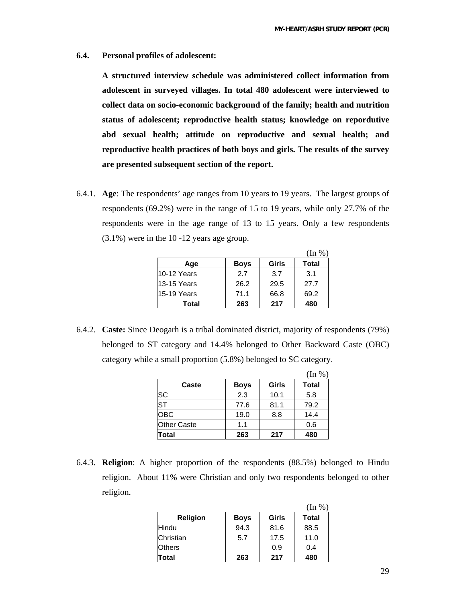$\sqrt{2}$   $\sqrt{2}$   $\sqrt{3}$ 

**6.4. Personal profiles of adolescent:** 

**A structured interview schedule was administered collect information from adolescent in surveyed villages. In total 480 adolescent were interviewed to collect data on socio-economic background of the family; health and nutrition status of adolescent; reproductive health status; knowledge on repordutive abd sexual health; attitude on reproductive and sexual health; and reproductive health practices of both boys and girls. The results of the survey are presented subsequent section of the report.** 

6.4.1. **Age**: The respondents' age ranges from 10 years to 19 years. The largest groups of respondents (69.2%) were in the range of 15 to 19 years, while only 27.7% of the respondents were in the age range of 13 to 15 years. Only a few respondents (3.1%) were in the 10 -12 years age group.

|             |             |       | (In % |
|-------------|-------------|-------|-------|
| Age         | <b>Boys</b> | Girls | Total |
| 10-12 Years | 2.7         | 3.7   | 3.1   |
| 13-15 Years | 26.2        | 29.5  | 27.7  |
| 15-19 Years | 71.1        | 66.8  | 69.2  |
| Total       | 263         | 217   | 480   |

6.4.2. **Caste:** Since Deogarh is a tribal dominated district, majority of respondents (79%) belonged to ST category and 14.4% belonged to Other Backward Caste (OBC) category while a small proportion (5.8%) belonged to SC category.

|                        |             |       | (In %)       |
|------------------------|-------------|-------|--------------|
| Caste                  | <b>Boys</b> | Girls | <b>Total</b> |
| <b>SC</b>              | 2.3         | 10.1  | 5.8          |
| $\overline{\text{ST}}$ | 77.6        | 81.1  | 79.2         |
| <b>OBC</b>             | 19.0        | 8.8   | 14.4         |
| <b>Other Caste</b>     | 1.1         |       | 0.6          |
| Total                  | 263         | 217   | 480          |

6.4.3. **Religion**: A higher proportion of the respondents (88.5%) belonged to Hindu religion. About 11% were Christian and only two respondents belonged to other religion.

|                 |             |       | (In %)       |
|-----------------|-------------|-------|--------------|
| <b>Religion</b> | <b>Boys</b> | Girls | <b>Total</b> |
| Hindu           | 94.3        | 81.6  | 88.5         |
| Christian       | 5.7         | 17.5  | 11.0         |
| <b>Others</b>   |             | 0.9   | 0.4          |
| Total           | 263         | 217   | 480          |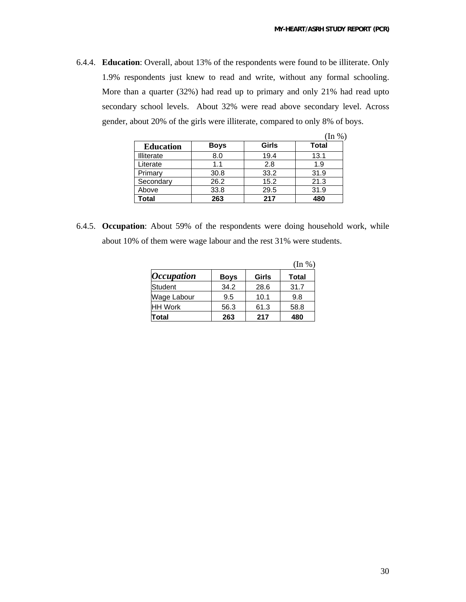6.4.4. **Education**: Overall, about 13% of the respondents were found to be illiterate. Only 1.9% respondents just knew to read and write, without any formal schooling. More than a quarter (32%) had read up to primary and only 21% had read upto secondary school levels. About 32% were read above secondary level. Across gender, about 20% of the girls were illiterate, compared to only 8% of boys.

|                   |             |       | (In %) |
|-------------------|-------------|-------|--------|
| <b>Education</b>  | <b>Boys</b> | Girls | Total  |
| <b>Illiterate</b> | 8.0         | 19.4  | 13.1   |
| Literate          | 1.1         | 2.8   | 1.9    |
| Primary           | 30.8        | 33.2  | 31.9   |
| Secondary         | 26.2        | 15.2  | 21.3   |
| Above             | 33.8        | 29.5  | 31.9   |
| Total             | 263         | 217   | 480    |

6.4.5. **Occupation**: About 59% of the respondents were doing household work, while about 10% of them were wage labour and the rest 31% were students.

|                          |             |       | (In %)       |
|--------------------------|-------------|-------|--------------|
| <i><b>Occupation</b></i> | <b>Boys</b> | Girls | <b>Total</b> |
| Student                  | 34.2        | 28.6  | 31.7         |
| Wage Labour              | 9.5         | 10.1  | 9.8          |
| <b>HH Work</b>           | 56.3        | 61.3  | 58.8         |
| Total                    | 263         | 217   | 480          |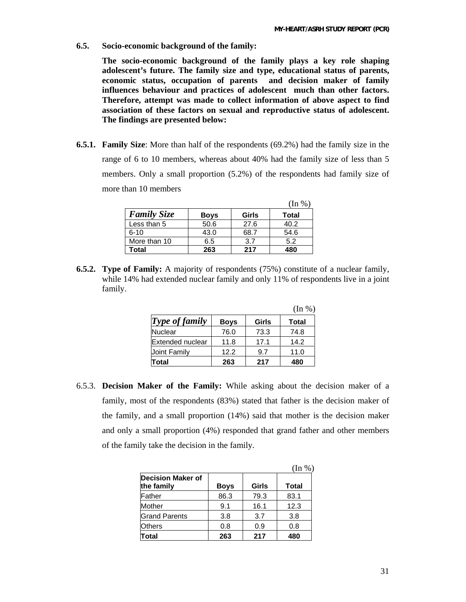**6.5. Socio-economic background of the family:** 

**The socio-economic background of the family plays a key role shaping adolescent's future. The family size and type, educational status of parents, economic status, occupation of parents and decision maker of family influences behaviour and practices of adolescent much than other factors. Therefore, attempt was made to collect information of above aspect to find association of these factors on sexual and reproductive status of adolescent. The findings are presented below:** 

**6.5.1. Family Size**: More than half of the respondents (69.2%) had the family size in the range of 6 to 10 members, whereas about 40% had the family size of less than 5 members. Only a small proportion (5.2%) of the respondents had family size of more than 10 members

|                    |             |       | $(\text{In } \% )$ |
|--------------------|-------------|-------|--------------------|
| <b>Family Size</b> | <b>Boys</b> | Girls | Total              |
| Less than 5        | 50.6        | 27.6  | 40.2               |
| $6 - 10$           | 43.0        | 68.7  | 54.6               |
| More than 10       | 6.5         | 3.7   | 5.2                |
| Total              | 263         | 217   | 480                |

**6.5.2. Type of Family:** A majority of respondents (75%) constitute of a nuclear family, while 14% had extended nuclear family and only 11% of respondents live in a joint family.

|                   |             |       | (In %)       |
|-------------------|-------------|-------|--------------|
| Type of family    | <b>Boys</b> | Girls | <b>Total</b> |
| <b>Nuclear</b>    | 76.0        | 73.3  | 74.8         |
| lExtended nuclear | 11.8        | 17.1  | 14.2         |
| Joint Family      | 12.2        | 9.7   | 11.0         |
| Total             | 263         | 217   | 480          |

6.5.3. **Decision Maker of the Family:** While asking about the decision maker of a family, most of the respondents (83%) stated that father is the decision maker of the family, and a small proportion (14%) said that mother is the decision maker and only a small proportion (4%) responded that grand father and other members of the family take the decision in the family.

|                                        |             |       | (In %) |
|----------------------------------------|-------------|-------|--------|
| <b>Decision Maker of</b><br>the family | <b>Boys</b> | Girls | Total  |
| Father                                 | 86.3        | 79.3  | 83.1   |
| Mother                                 | 9.1         | 16.1  | 12.3   |
| <b>Grand Parents</b>                   | 3.8         | 3.7   | 3.8    |
| <b>Others</b>                          | 0.8         | 0.9   | 0.8    |
| Total                                  | 263         | 217   | 480    |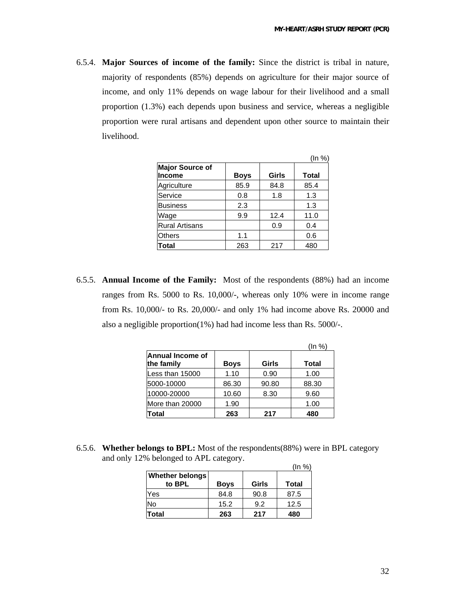6.5.4. **Major Sources of income of the family:** Since the district is tribal in nature, majority of respondents (85%) depends on agriculture for their major source of income, and only 11% depends on wage labour for their livelihood and a small proportion (1.3%) each depends upon business and service, whereas a negligible proportion were rural artisans and dependent upon other source to maintain their livelihood.

|                                   |             |       | (In %)       |
|-----------------------------------|-------------|-------|--------------|
| <b>Major Source of</b><br>lIncome | <b>Boys</b> | Girls | <b>Total</b> |
| Agriculture                       | 85.9        | 84.8  | 85.4         |
| Service                           | 0.8         | 1.8   | 1.3          |
| <b>Business</b>                   | 2.3         |       | 1.3          |
| Wage                              | 9.9         | 12.4  | 11.0         |
| <b>Rural Artisans</b>             |             | 0.9   | 0.4          |
| <b>Others</b>                     | 1.1         |       | 0.6          |
| <b>Total</b>                      | 263         | 217   | 480          |

6.5.5. **Annual Income of the Family:** Most of the respondents (88%) had an income ranges from Rs. 5000 to Rs. 10,000/-, whereas only 10% were in income range from Rs. 10,000/- to Rs. 20,000/- and only 1% had income above Rs. 20000 and also a negligible proportion(1%) had had income less than Rs. 5000/-.

|                                       |             |       | (ln %) |
|---------------------------------------|-------------|-------|--------|
| <b>Annual Income of</b><br>the family | <b>Boys</b> | Girls | Total  |
| Less than 15000                       | 1.10        | 0.90  | 1.00   |
| 5000-10000                            | 86.30       | 90.80 | 88.30  |
| 10000-20000                           | 10.60       | 8.30  | 9.60   |
| More than 20000                       | 1.90        |       | 1.00   |
| Total                                 | 263         | 217   | 480    |

6.5.6. **Whether belongs to BPL:** Most of the respondents(88%) were in BPL category and only 12% belonged to APL category.  $(1, 2)$ 

|                                  |             |       | (In %) |
|----------------------------------|-------------|-------|--------|
| <b>Whether belongs</b><br>to BPL | <b>Boys</b> | Girls | Total  |
| Yes                              | 84.8        | 90.8  | 87.5   |
| <b>No</b>                        | 15.2        | 9.2   | 12.5   |
| <b>Total</b>                     | 263         | 217   | 480    |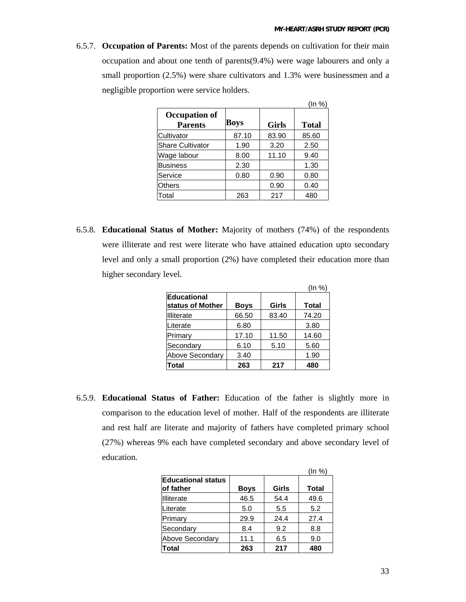6.5.7. **Occupation of Parents:** Most of the parents depends on cultivation for their main occupation and about one tenth of parents(9.4%) were wage labourers and only a small proportion (2.5%) were share cultivators and 1.3% were businessmen and a negligible proportion were service holders.

|                                 |       |              | (ln %)       |
|---------------------------------|-------|--------------|--------------|
| Occupation of<br><b>Parents</b> | Boys  | <b>Girls</b> | <b>Total</b> |
| Cultivator                      | 87.10 | 83.90        | 85.60        |
| <b>Share Cultivator</b>         | 1.90  | 3.20         | 2.50         |
| Wage labour                     | 8.00  | 11.10        | 9.40         |
| <b>Business</b>                 | 2.30  |              | 1.30         |
| Service                         | 0.80  | 0.90         | 0.80         |
| Others                          |       | 0.90         | 0.40         |
| Total                           | 263   | 217          | 480          |

6.5.8. **Educational Status of Mother:** Majority of mothers (74%) of the respondents were illiterate and rest were literate who have attained education upto secondary level and only a small proportion (2%) have completed their education more than higher secondary level.

|                                        |             |       | (In %) |
|----------------------------------------|-------------|-------|--------|
| <b>Educational</b><br>status of Mother | <b>Boys</b> | Girls | Total  |
| Illiterate                             | 66.50       | 83.40 | 74.20  |
| Literate                               | 6.80        |       | 3.80   |
| Primary                                | 17.10       | 11.50 | 14.60  |
| Secondary                              | 6.10        | 5.10  | 5.60   |
| <b>Above Secondary</b>                 | 3.40        |       | 1.90   |
| Total                                  | 263         | 217   | 480    |

6.5.9. **Educational Status of Father:** Education of the father is slightly more in comparison to the education level of mother. Half of the respondents are illiterate and rest half are literate and majority of fathers have completed primary school (27%) whereas 9% each have completed secondary and above secondary level of education.

|                                         |             |       | (In %)       |
|-----------------------------------------|-------------|-------|--------------|
| <b>Educational status</b><br>lof father | <b>Boys</b> | Girls | <b>Total</b> |
| Illiterate                              | 46.5        | 54.4  | 49.6         |
| Literate                                | 5.0         | 5.5   | 5.2          |
| Primary                                 | 29.9        | 24.4  | 27.4         |
| Secondary                               | 8.4         | 9.2   | 8.8          |
| <b>Above Secondary</b>                  | 11.1        | 6.5   | 9.0          |
| Total                                   | 263         | 217   | 480          |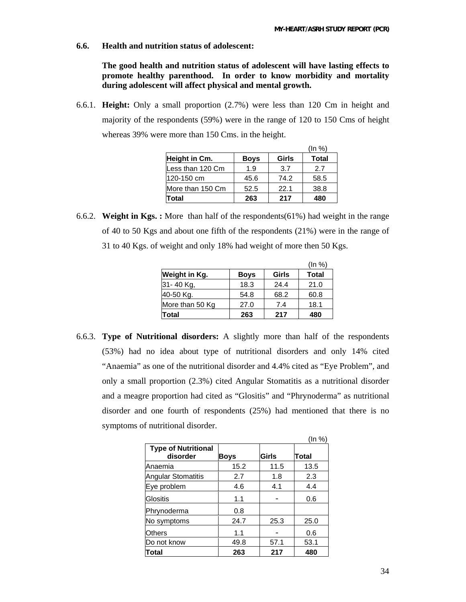**6.6. Health and nutrition status of adolescent:** 

**The good health and nutrition status of adolescent will have lasting effects to promote healthy parenthood. In order to know morbidity and mortality during adolescent will affect physical and mental growth.** 

6.6.1. **Height:** Only a small proportion (2.7%) were less than 120 Cm in height and majority of the respondents (59%) were in the range of 120 to 150 Cms of height whereas 39% were more than 150 Cms. in the height.

|                  |             |       | (In %)       |
|------------------|-------------|-------|--------------|
| Height in Cm.    | <b>Boys</b> | Girls | <b>Total</b> |
| Less than 120 Cm | 1.9         | 3.7   | 2.7          |
| l120-150 cm      | 45.6        | 74.2  | 58.5         |
| More than 150 Cm | 52.5        | 22.1  | 38.8         |
| Total            | 263         | 217   | 480          |

6.6.2. **Weight in Kgs. :** More than half of the respondents(61%) had weight in the range of 40 to 50 Kgs and about one fifth of the respondents (21%) were in the range of 31 to 40 Kgs. of weight and only 18% had weight of more then 50 Kgs.

|                 |             |       | (ln %)       |
|-----------------|-------------|-------|--------------|
| Weight in Kg.   | <b>Boys</b> | Girls | <b>Total</b> |
| 31-40 Kg,       | 18.3        | 24.4  | 21.0         |
| 40-50 Kg.       | 54.8        | 68.2  | 60.8         |
| More than 50 Kg | 27.0        | 7.4   | 18.1         |
| Total           | 263         | 217   | 480          |

6.6.3. **Type of Nutritional disorders:** A slightly more than half of the respondents (53%) had no idea about type of nutritional disorders and only 14% cited "Anaemia" as one of the nutritional disorder and 4.4% cited as "Eye Problem", and only a small proportion (2.3%) cited Angular Stomatitis as a nutritional disorder and a meagre proportion had cited as "Glositis" and "Phrynoderma" as nutritional disorder and one fourth of respondents (25%) had mentioned that there is no symptoms of nutritional disorder.

|                                        |      |       | (In %) |
|----------------------------------------|------|-------|--------|
| <b>Type of Nutritional</b><br>disorder | Boys | Girls | Total  |
| Anaemia                                | 15.2 | 11.5  | 13.5   |
| <b>Angular Stomatitis</b>              | 2.7  | 1.8   | 2.3    |
| Eye problem                            | 4.6  | 4.1   | 4.4    |
| Glositis                               | 1.1  |       | 0.6    |
| Phrynoderma                            | 0.8  |       |        |
| No symptoms                            | 24.7 | 25.3  | 25.0   |
| Others                                 | 1.1  |       | 0.6    |
| Do not know                            | 49.8 | 57.1  | 53.1   |
| Total                                  | 263  | 217   | 480    |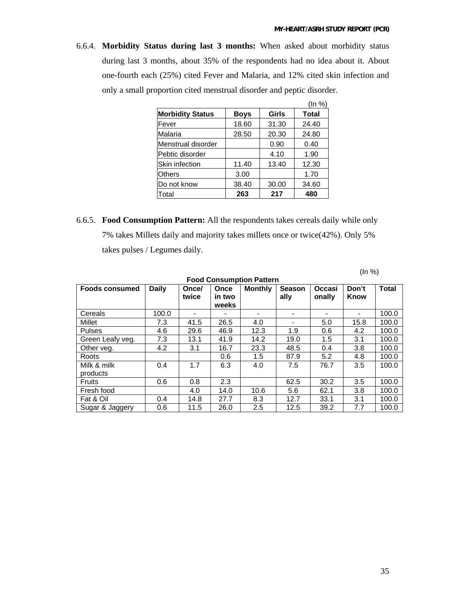6.6.4. **Morbidity Status during last 3 months:** When asked about morbidity status during last 3 months, about 35% of the respondents had no idea about it. About one-fourth each (25%) cited Fever and Malaria, and 12% cited skin infection and only a small proportion cited menstrual disorder and peptic disorder.

|                         |             |       | (ln %) |
|-------------------------|-------------|-------|--------|
| <b>Morbidity Status</b> | <b>Boys</b> | Girls | Total  |
| lFever                  | 18.60       | 31.30 | 24.40  |
| Malaria                 | 28.50       | 20.30 | 24.80  |
| Menstrual disorder      |             | 0.90  | 0.40   |
| Pebtic disorder         |             | 4.10  | 1.90   |
| <b>Skin infection</b>   | 11.40       | 13.40 | 12.30  |
| Others                  | 3.00        |       | 1.70   |
| Do not know             | 38.40       | 30.00 | 34.60  |
| Total                   | 263         | 217   | 480    |

6.6.5. **Food Consumption Pattern:** All the respondents takes cereals daily while only 7% takes Millets daily and majority takes millets once or twice(42%). Only 5% takes pulses / Legumes daily.

| <b>Food Consumption Pattern</b> |              |                |                         |                |                       |                  |               |              |
|---------------------------------|--------------|----------------|-------------------------|----------------|-----------------------|------------------|---------------|--------------|
| <b>Foods consumed</b>           | <b>Daily</b> | Once/<br>twice | Once<br>in two<br>weeks | <b>Monthly</b> | <b>Season</b><br>ally | Occasi<br>onally | Don't<br>Know | <b>Total</b> |
| Cereals                         | 100.0        |                |                         |                |                       |                  |               | 100.0        |
| Millet                          | 7.3          | 41.5           | 26.5                    | 4.0            |                       | 5.0              | 15.8          | 100.0        |
| <b>Pulses</b>                   | 4.6          | 29.6           | 46.9                    | 12.3           | 1.9                   | 0.6              | 4.2           | 100.0        |
| Green Leafy veg.                | 7.3          | 13.1           | 41.9                    | 14.2           | 19.0                  | 1.5              | 3.1           | 100.0        |
| Other veg.                      | 4.2          | 3.1            | 16.7                    | 23.3           | 48.5                  | 0.4              | 3.8           | 100.0        |
| Roots                           |              |                | 0.6                     | 1.5            | 87.9                  | 5.2              | 4.8           | 100.0        |
| Milk & milk<br>products         | 0.4          | 1.7            | 6.3                     | 4.0            | 7.5                   | 76.7             | 3.5           | 100.0        |
| <b>Fruits</b>                   | 0.6          | 0.8            | 2.3                     |                | 62.5                  | 30.2             | 3.5           | 100.0        |
| Fresh food                      |              | 4.0            | 14.0                    | 10.6           | 5.6                   | 62.1             | 3.8           | 100.0        |
| Fat & Oil                       | 0.4          | 14.8           | 27.7                    | 8.3            | 12.7                  | 33.1             | 3.1           | 100.0        |
| Sugar & Jaggery                 | 0.6          | 11.5           | 26.0                    | 2.5            | 12.5                  | 39.2             | 7.7           | 100.0        |

(In %)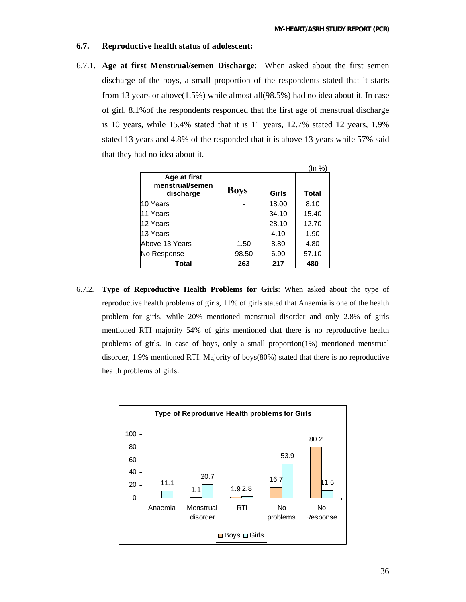### **6.7. Reproductive health status of adolescent:**

6.7.1. **Age at first Menstrual/semen Discharge**: When asked about the first semen discharge of the boys, a small proportion of the respondents stated that it starts from 13 years or above(1.5%) while almost all(98.5%) had no idea about it. In case of girl, 8.1%of the respondents responded that the first age of menstrual discharge is 10 years, while 15.4% stated that it is 11 years, 12.7% stated 12 years, 1.9% stated 13 years and 4.8% of the responded that it is above 13 years while 57% said that they had no idea about it.

|                                              |       |       | (ln %)       |
|----------------------------------------------|-------|-------|--------------|
| Age at first<br>menstrual/semen<br>discharge | Boys  | Girls | <b>Total</b> |
| 10 Years                                     |       | 18.00 | 8.10         |
| 11 Years                                     |       | 34.10 | 15.40        |
| 12 Years                                     |       | 28.10 | 12.70        |
| 13 Years                                     |       | 4.10  | 1.90         |
| Above 13 Years                               | 1.50  | 8.80  | 4.80         |
| No Response                                  | 98.50 | 6.90  | 57.10        |
| Total                                        | 263   | 217   | 480          |

6.7.2. **Type of Reproductive Health Problems for Girls**: When asked about the type of reproductive health problems of girls, 11% of girls stated that Anaemia is one of the health problem for girls, while 20% mentioned menstrual disorder and only 2.8% of girls mentioned RTI majority 54% of girls mentioned that there is no reproductive health problems of girls. In case of boys, only a small proportion(1%) mentioned menstrual disorder, 1.9% mentioned RTI. Majority of boys(80%) stated that there is no reproductive health problems of girls.

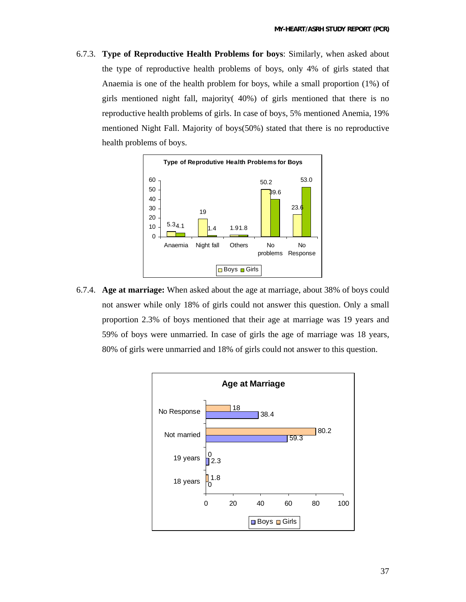6.7.3. **Type of Reproductive Health Problems for boys**: Similarly, when asked about the type of reproductive health problems of boys, only 4% of girls stated that Anaemia is one of the health problem for boys, while a small proportion (1%) of girls mentioned night fall, majority( 40%) of girls mentioned that there is no reproductive health problems of girls. In case of boys, 5% mentioned Anemia, 19% mentioned Night Fall. Majority of boys(50%) stated that there is no reproductive health problems of boys.



6.7.4. **Age at marriage:** When asked about the age at marriage, about 38% of boys could not answer while only 18% of girls could not answer this question. Only a small proportion 2.3% of boys mentioned that their age at marriage was 19 years and 59% of boys were unmarried. In case of girls the age of marriage was 18 years, 80% of girls were unmarried and 18% of girls could not answer to this question.

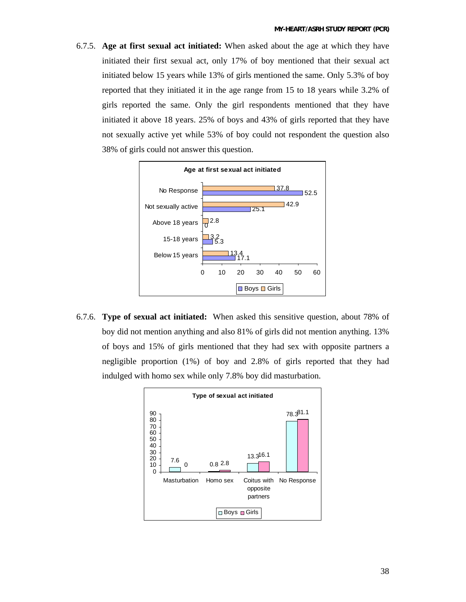6.7.5. **Age at first sexual act initiated:** When asked about the age at which they have initiated their first sexual act, only 17% of boy mentioned that their sexual act initiated below 15 years while 13% of girls mentioned the same. Only 5.3% of boy reported that they initiated it in the age range from 15 to 18 years while 3.2% of girls reported the same. Only the girl respondents mentioned that they have initiated it above 18 years. 25% of boys and 43% of girls reported that they have not sexually active yet while 53% of boy could not respondent the question also 38% of girls could not answer this question.



6.7.6. **Type of sexual act initiated:** When asked this sensitive question, about 78% of boy did not mention anything and also 81% of girls did not mention anything. 13% of boys and 15% of girls mentioned that they had sex with opposite partners a negligible proportion (1%) of boy and 2.8% of girls reported that they had indulged with homo sex while only 7.8% boy did masturbation.

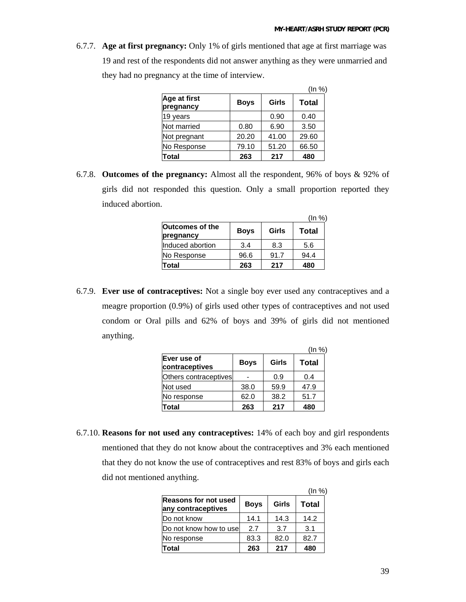6.7.7. **Age at first pregnancy:** Only 1% of girls mentioned that age at first marriage was 19 and rest of the respondents did not answer anything as they were unmarried and they had no pregnancy at the time of interview.

|                           |             |       | (In %)       |
|---------------------------|-------------|-------|--------------|
| Age at first<br>pregnancy | <b>Boys</b> | Girls | <b>Total</b> |
| 19 years                  |             | 0.90  | 0.40         |
| Not married               | 0.80        | 6.90  | 3.50         |
| Not pregnant              | 20.20       | 41.00 | 29.60        |
| No Response               | 79.10       | 51.20 | 66.50        |
| Total                     | 263         | 217   | 480          |

6.7.8. **Outcomes of the pregnancy:** Almost all the respondent, 96% of boys & 92% of girls did not responded this question. Only a small proportion reported they induced abortion.

|                                     |             |       | (In %) |
|-------------------------------------|-------------|-------|--------|
| <b>Outcomes of the</b><br>pregnancy | <b>Boys</b> | Girls | Total  |
| Induced abortion                    | 3.4         | 8.3   | 5.6    |
| No Response                         | 96.6        | 91.7  | 94.4   |
| Total                               | 263         | 217   | 480    |

6.7.9. **Ever use of contraceptives:** Not a single boy ever used any contraceptives and a meagre proportion (0.9%) of girls used other types of contraceptives and not used condom or Oral pills and 62% of boys and 39% of girls did not mentioned anything.

|                               |             |       | (ln %)       |
|-------------------------------|-------------|-------|--------------|
| Ever use of<br>contraceptives | <b>Boys</b> | Girls | <b>Total</b> |
| Others contraceptives         |             | 0.9   | 0.4          |
| Not used                      | 38.0        | 59.9  | 47.9         |
| No response                   | 62.0        | 38.2  | 51.7         |
| Total                         | 263         | 217   | 480          |

6.7.10. **Reasons for not used any contraceptives:** 14% of each boy and girl respondents mentioned that they do not know about the contraceptives and 3% each mentioned that they do not know the use of contraceptives and rest 83% of boys and girls each did not mentioned anything.

|                                            |             |       | (ln %)       |
|--------------------------------------------|-------------|-------|--------------|
| Reasons for not used<br>any contraceptives | <b>Boys</b> | Girls | <b>Total</b> |
| lDo not know                               | 14.1        | 14.3  | 14.2         |
| Do not know how to usel                    | 2.7         | 3.7   | 3.1          |
| No response                                | 83.3        | 82.0  | 82.7         |
| 'otal                                      | 263         | 217   | 480          |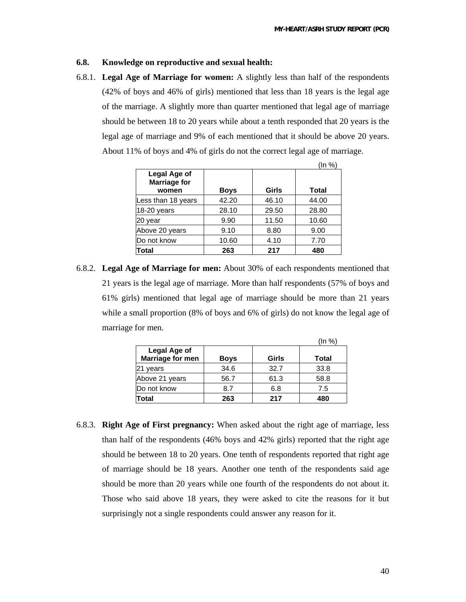### **6.8. Knowledge on reproductive and sexual health:**

6.8.1. **Legal Age of Marriage for women:** A slightly less than half of the respondents (42% of boys and 46% of girls) mentioned that less than 18 years is the legal age of the marriage. A slightly more than quarter mentioned that legal age of marriage should be between 18 to 20 years while about a tenth responded that 20 years is the legal age of marriage and 9% of each mentioned that it should be above 20 years. About 11% of boys and 4% of girls do not the correct legal age of marriage.

| (ln %)                                       |             |       |       |
|----------------------------------------------|-------------|-------|-------|
| Legal Age of<br><b>Marriage for</b><br>women | <b>Boys</b> | Girls | Total |
| Less than 18 years                           | 42.20       | 46.10 | 44.00 |
| 18-20 years                                  | 28.10       | 29.50 | 28.80 |
| 20 year                                      | 9.90        | 11.50 | 10.60 |
| Above 20 years                               | 9.10        | 8.80  | 9.00  |
| Do not know                                  | 10.60       | 4.10  | 7.70  |
| Total                                        | 263         | 217   | 480   |

6.8.2. **Legal Age of Marriage for men:** About 30% of each respondents mentioned that 21 years is the legal age of marriage. More than half respondents (57% of boys and 61% girls) mentioned that legal age of marriage should be more than 21 years while a small proportion (8% of boys and 6% of girls) do not know the legal age of marriage for men.

|                                  |             |       | (ln %) |
|----------------------------------|-------------|-------|--------|
| Legal Age of<br>Marriage for men | <b>Boys</b> | Girls | Total  |
| vears                            | 34.6        | 32.7  | 33.8   |
| Above 21 years                   | 56.7        | 61.3  | 58.8   |
| Do not know                      | 8.7         | 6.8   | 7.5    |
| Total                            | 263         | 217   | 480    |

6.8.3. **Right Age of First pregnancy:** When asked about the right age of marriage, less than half of the respondents (46% boys and 42% girls) reported that the right age should be between 18 to 20 years. One tenth of respondents reported that right age of marriage should be 18 years. Another one tenth of the respondents said age should be more than 20 years while one fourth of the respondents do not about it. Those who said above 18 years, they were asked to cite the reasons for it but surprisingly not a single respondents could answer any reason for it.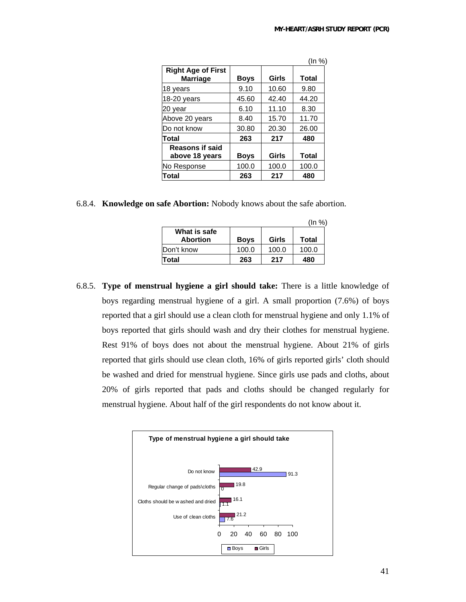|                                              |             |       | (In %) |
|----------------------------------------------|-------------|-------|--------|
| <b>Right Age of First</b><br><b>Marriage</b> | Boys        | Girls | Total  |
| 18 years                                     | 9.10        | 10.60 | 9.80   |
| 18-20 years                                  | 45.60       | 42.40 | 44.20  |
| 20 vear                                      | 6.10        | 11.10 | 8.30   |
| Above 20 years                               | 8.40        | 15.70 | 11.70  |
| Do not know                                  | 30.80       | 20.30 | 26.00  |
| Total                                        | 263         | 217   | 480    |
| <b>Reasons if said</b><br>above 18 years     | <b>Boys</b> | Girls | Total  |
| No Response                                  | 100.0       | 100.0 | 100.0  |
| Total                                        | 263         | 217   | 480    |

6.8.4. **Knowledge on safe Abortion:** Nobody knows about the safe abortion.

|                                 |             |       | (In %) |
|---------------------------------|-------------|-------|--------|
| What is safe<br><b>Abortion</b> | <b>Boys</b> | Girls | Total  |
| Don't know                      | 100.0       | 100.0 | 100.0  |
| Total                           | 263         | 217   | 480    |

6.8.5. **Type of menstrual hygiene a girl should take:** There is a little knowledge of boys regarding menstrual hygiene of a girl. A small proportion (7.6%) of boys reported that a girl should use a clean cloth for menstrual hygiene and only 1.1% of boys reported that girls should wash and dry their clothes for menstrual hygiene. Rest 91% of boys does not about the menstrual hygiene. About 21% of girls reported that girls should use clean cloth, 16% of girls reported girls' cloth should be washed and dried for menstrual hygiene. Since girls use pads and cloths, about 20% of girls reported that pads and cloths should be changed regularly for menstrual hygiene. About half of the girl respondents do not know about it.

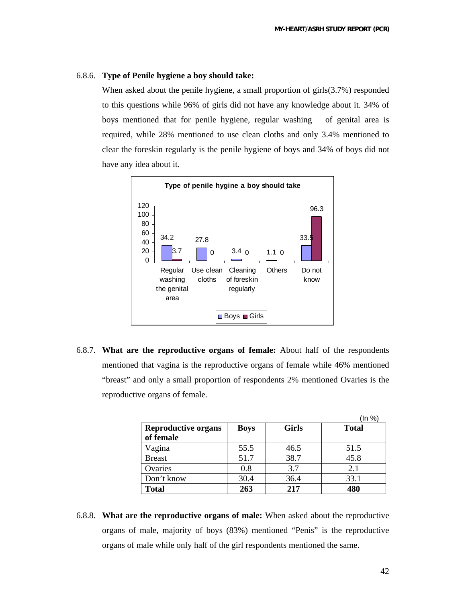### 6.8.6. **Type of Penile hygiene a boy should take:**

When asked about the penile hygiene, a small proportion of girls(3.7%) responded to this questions while 96% of girls did not have any knowledge about it. 34% of boys mentioned that for penile hygiene, regular washing of genital area is required, while 28% mentioned to use clean cloths and only 3.4% mentioned to clear the foreskin regularly is the penile hygiene of boys and 34% of boys did not have any idea about it.



6.8.7. **What are the reproductive organs of female:** About half of the respondents mentioned that vagina is the reproductive organs of female while 46% mentioned "breast" and only a small proportion of respondents 2% mentioned Ovaries is the reproductive organs of female.

|                            |             |              | (In %)       |
|----------------------------|-------------|--------------|--------------|
| <b>Reproductive organs</b> | <b>Boys</b> | <b>Girls</b> | <b>Total</b> |
| of female                  |             |              |              |
| Vagina                     | 55.5        | 46.5         | 51.5         |
| <b>Breast</b>              | 51.7        | 38.7         | 45.8         |
| Ovaries                    | 0.8         | 3.7          | 2.1          |
| Don't know                 | 30.4        | 36.4         | 33.1         |
| <b>Total</b>               | 263         | 217          | 480          |

6.8.8. **What are the reproductive organs of male:** When asked about the reproductive organs of male, majority of boys (83%) mentioned "Penis" is the reproductive organs of male while only half of the girl respondents mentioned the same.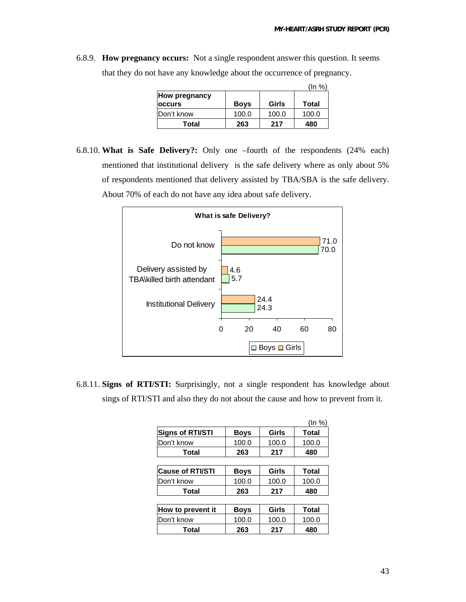6.8.9. **How pregnancy occurs:** Not a single respondent answer this question. It seems that they do not have any knowledge about the occurrence of pregnancy.

|                                 |             |       | (In %) |
|---------------------------------|-------------|-------|--------|
| How pregnancy<br><b>loccurs</b> | <b>Boys</b> | Girls | Total  |
| Don't know                      | 100.0       | 100.0 | 100.0  |
| Total                           | 263         | 217   | 480    |

6.8.10. **What is Safe Delivery?:** Only one –fourth of the respondents (24% each) mentioned that institutional delivery is the safe delivery where as only about 5% of respondents mentioned that delivery assisted by TBA/SBA is the safe delivery. About 70% of each do not have any idea about safe delivery.



6.8.11. **Signs of RTI/STI:** Surprisingly, not a single respondent has knowledge about sings of RTI/STI and also they do not about the cause and how to prevent from it.

|                         |             |       | (ln %)       |
|-------------------------|-------------|-------|--------------|
| <b>Signs of RTI/STI</b> | <b>Boys</b> | Girls | <b>Total</b> |
| Don't know              | 100.0       | 100.0 | 100.0        |
| Total                   | 263         | 217   | 480          |
|                         |             |       |              |
| <b>Cause of RTI/STI</b> | <b>Boys</b> | Girls | <b>Total</b> |
| Don't know              | 100.0       | 100.0 | 100.0        |
| Total                   | 263         | 217   | 480          |
|                         |             |       |              |
| How to prevent it       | <b>Boys</b> | Girls | <b>Total</b> |
| Don't know              | 100.0       | 100.0 | 100.0        |
| Total                   | 263         | 217   | 480          |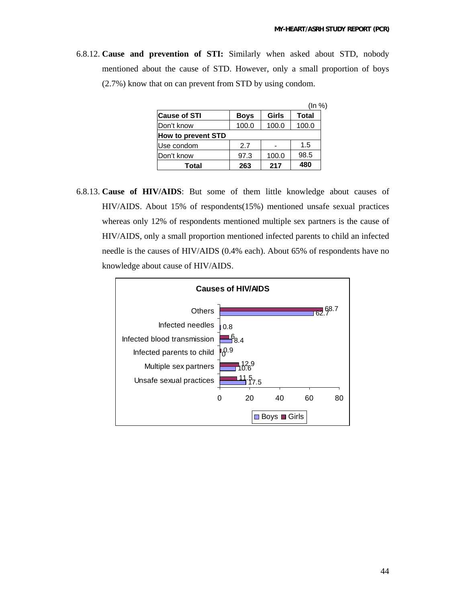6.8.12. **Cause and prevention of STI:** Similarly when asked about STD, nobody mentioned about the cause of STD. However, only a small proportion of boys (2.7%) know that on can prevent from STD by using condom.

|                           |             |       | (ln %) |
|---------------------------|-------------|-------|--------|
| <b>Cause of STI</b>       | <b>Boys</b> | Girls | Total  |
| Don't know                | 100.0       | 100.0 | 100.0  |
| <b>How to prevent STD</b> |             |       |        |
| Use condom                | 2.7         |       | 1.5    |
| Don't know                | 97.3        | 100.0 | 98.5   |
| Total                     | 263         | 217   | 480    |

6.8.13. **Cause of HIV/AIDS**: But some of them little knowledge about causes of HIV/AIDS. About 15% of respondents(15%) mentioned unsafe sexual practices whereas only 12% of respondents mentioned multiple sex partners is the cause of HIV/AIDS, only a small proportion mentioned infected parents to child an infected needle is the causes of HIV/AIDS (0.4% each). About 65% of respondents have no knowledge about cause of HIV/AIDS.

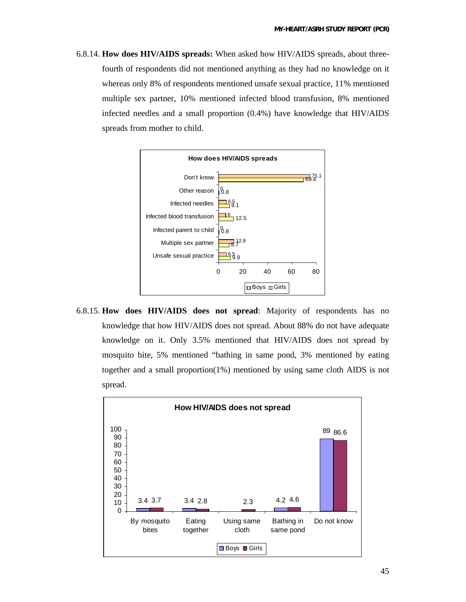6.8.14. **How does HIV/AIDS spreads:** When asked how HIV/AIDS spreads, about threefourth of respondents did not mentioned anything as they had no knowledge on it whereas only 8% of respondents mentioned unsafe sexual practice, 11% mentioned multiple sex partner, 10% mentioned infected blood transfusion, 8% mentioned infected needles and a small proportion (0.4%) have knowledge that HIV/AIDS spreads from mother to child.



6.8.15. **How does HIV/AIDS does not spread**: Majority of respondents has no knowledge that how HIV/AIDS does not spread. About 88% do not have adequate knowledge on it. Only 3.5% mentioned that HIV/AIDS does not spread by mosquito bite, 5% mentioned "bathing in same pond, 3% mentioned by eating together and a small proportion(1%) mentioned by using same cloth AIDS is not spread.

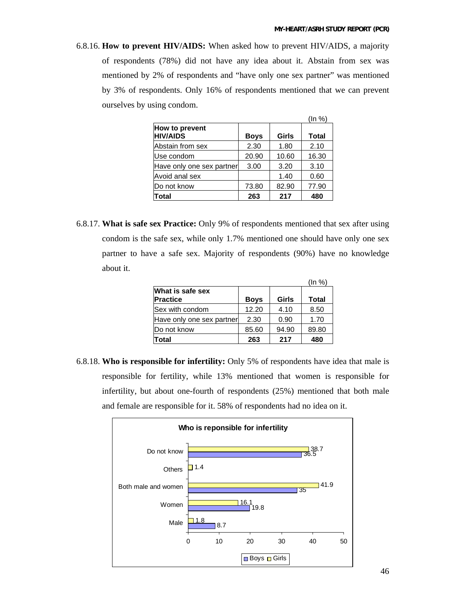6.8.16. **How to prevent HIV/AIDS:** When asked how to prevent HIV/AIDS, a majority of respondents (78%) did not have any idea about it. Abstain from sex was mentioned by 2% of respondents and "have only one sex partner" was mentioned by 3% of respondents. Only 16% of respondents mentioned that we can prevent ourselves by using condom.

|                                   |             |       | (In %)       |
|-----------------------------------|-------------|-------|--------------|
| How to prevent<br><b>HIV/AIDS</b> | <b>Boys</b> | Girls | <b>Total</b> |
| Abstain from sex                  | 2.30        | 1.80  | 2.10         |
| Use condom                        | 20.90       | 10.60 | 16.30        |
| Have only one sex partner         | 3.00        | 3.20  | 3.10         |
| Avoid anal sex                    |             | 1.40  | 0.60         |
| Do not know                       | 73.80       | 82.90 | 77.90        |
| Total                             | 263         | 217   | 480          |

6.8.17. **What is safe sex Practice:** Only 9% of respondents mentioned that sex after using condom is the safe sex, while only 1.7% mentioned one should have only one sex partner to have a safe sex. Majority of respondents (90%) have no knowledge about it.

|                                     |             |       | (In %) |
|-------------------------------------|-------------|-------|--------|
| What is safe sex<br><b>Practice</b> | <b>Boys</b> | Girls | Total  |
| lSex with condom                    | 12.20       | 4.10  | 8.50   |
| Have only one sex partner           | 2.30        | 0.90  | 1.70   |
| lDo not know                        | 85.60       | 94.90 | 89.80  |
| Total                               | 263         | 217   | 480    |

6.8.18. **Who is responsible for infertility:** Only 5% of respondents have idea that male is responsible for fertility, while 13% mentioned that women is responsible for infertility, but about one-fourth of respondents (25%) mentioned that both male and female are responsible for it. 58% of respondents had no idea on it.

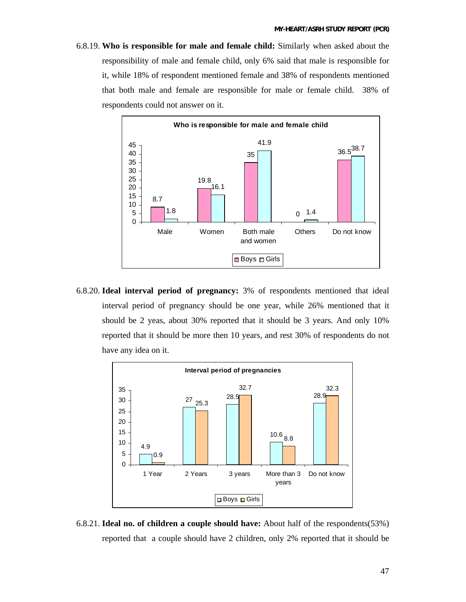6.8.19. **Who is responsible for male and female child:** Similarly when asked about the responsibility of male and female child, only 6% said that male is responsible for it, while 18% of respondent mentioned female and 38% of respondents mentioned that both male and female are responsible for male or female child. 38% of respondents could not answer on it.



6.8.20. **Ideal interval period of pregnancy:** 3% of respondents mentioned that ideal interval period of pregnancy should be one year, while 26% mentioned that it should be 2 yeas, about 30% reported that it should be 3 years. And only 10% reported that it should be more then 10 years, and rest 30% of respondents do not have any idea on it.



6.8.21. **Ideal no. of children a couple should have:** About half of the respondents(53%) reported that a couple should have 2 children, only 2% reported that it should be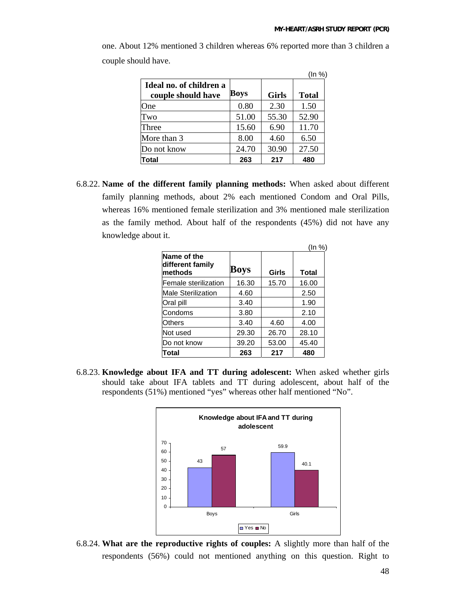|                                               |       |              | (ln %)       |
|-----------------------------------------------|-------|--------------|--------------|
| Ideal no. of children a<br>couple should have | Boys  | <b>Girls</b> | <b>Total</b> |
| One                                           | 0.80  | 2.30         | 1.50         |
| Two                                           | 51.00 | 55.30        | 52.90        |
| Three                                         | 15.60 | 6.90         | 11.70        |
| More than 3                                   | 8.00  | 4.60         | 6.50         |
| Do not know                                   | 24.70 | 30.90        | 27.50        |
| Total                                         | 263   | 217          | 480          |

one. About 12% mentioned 3 children whereas 6% reported more than 3 children a couple should have.

6.8.22. **Name of the different family planning methods:** When asked about different family planning methods, about 2% each mentioned Condom and Oral Pills, whereas 16% mentioned female sterilization and 3% mentioned male sterilization as the family method. About half of the respondents (45%) did not have any knowledge about it.

|                                            |       |       | (ln %) |
|--------------------------------------------|-------|-------|--------|
| Name of the<br>different family<br>methods | Boys  | Girls | Total  |
| Female sterilization                       | 16.30 | 15.70 | 16.00  |
| Male Sterilization                         | 4.60  |       | 2.50   |
| Oral pill                                  | 3.40  |       | 1.90   |
| Condoms                                    | 3.80  |       | 2.10   |
| Others                                     | 3.40  | 4.60  | 4.00   |
| Not used                                   | 29.30 | 26.70 | 28.10  |
| Do not know                                | 39.20 | 53.00 | 45.40  |
| Total                                      | 263   | 217   | 480    |

6.8.23. **Knowledge about IFA and TT during adolescent:** When asked whether girls should take about IFA tablets and TT during adolescent, about half of the respondents (51%) mentioned "yes" whereas other half mentioned "No".



6.8.24. **What are the reproductive rights of couples:** A slightly more than half of the respondents (56%) could not mentioned anything on this question. Right to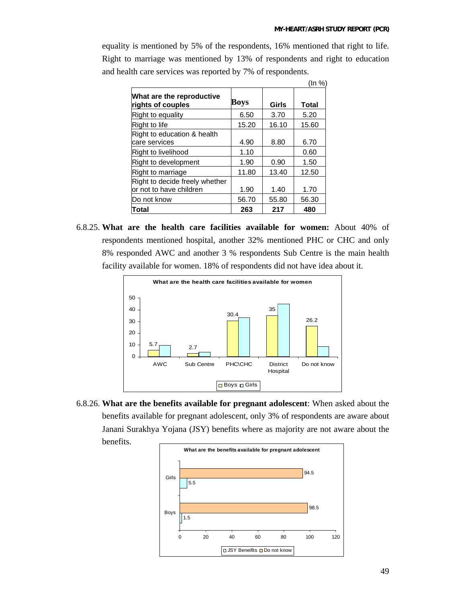equality is mentioned by 5% of the respondents, 16% mentioned that right to life. Right to marriage was mentioned by 13% of respondents and right to education and health care services was reported by 7% of respondents.

|                                                           |       |       | (ln %)       |
|-----------------------------------------------------------|-------|-------|--------------|
| What are the reproductive<br>rights of couples            | Boys  | Girls | <b>Total</b> |
| <b>Right to equality</b>                                  | 6.50  | 3.70  | 5.20         |
| Right to life                                             | 15.20 | 16.10 | 15.60        |
| Right to education & health<br>care services              | 4.90  | 8.80  | 6.70         |
| Right to livelihood                                       | 1.10  |       | 0.60         |
| Right to development                                      | 1.90  | 0.90  | 1.50         |
| Right to marriage                                         | 11.80 | 13.40 | 12.50        |
| Right to decide freely whether<br>or not to have children | 1.90  | 1.40  | 1.70         |
| Do not know                                               | 56.70 | 55.80 | 56.30        |
| Total                                                     | 263   | 217   | 480          |

6.8.25. **What are the health care facilities available for women:** About 40% of respondents mentioned hospital, another 32% mentioned PHC or CHC and only 8% responded AWC and another 3 % respondents Sub Centre is the main health facility available for women. 18% of respondents did not have idea about it.



6.8.26. **What are the benefits available for pregnant adolescent**: When asked about the benefits available for pregnant adolescent, only 3% of respondents are aware about Janani Surakhya Yojana (JSY) benefits where as majority are not aware about the benefits.

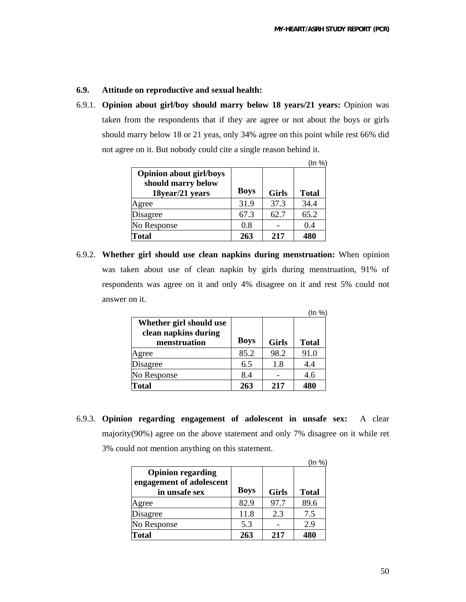### **6.9. Attitude on reproductive and sexual health:**

6.9.1. **Opinion about girl/boy should marry below 18 years/21 years:** Opinion was taken from the respondents that if they are agree or not about the boys or girls should marry below 18 or 21 yeas, only 34% agree on this point while rest 66% did not agree on it. But nobody could cite a single reason behind it.

|                                                                         |             |              | (In %)       |
|-------------------------------------------------------------------------|-------------|--------------|--------------|
| <b>Opinion about girl/boys</b><br>should marry below<br>18year/21 years | <b>Boys</b> | <b>Girls</b> | <b>Total</b> |
| Agree                                                                   | 31.9        | 37.3         | 34.4         |
| <b>Disagree</b>                                                         | 67.3        | 62.7         | 65.2         |
| No Response                                                             | 0.8         |              | 0.4          |
| <b>Total</b>                                                            | 263         | 217          | 480          |

6.9.2. **Whether girl should use clean napkins during menstruation:** When opinion was taken about use of clean napkin by girls during menstruation, 91% of respondents was agree on it and only 4% disagree on it and rest 5% could not answer on it.

|                                                                 |             |              | (ln %)       |
|-----------------------------------------------------------------|-------------|--------------|--------------|
| Whether girl should use<br>clean napkins during<br>menstruation | <b>Boys</b> | <b>Girls</b> | <b>Total</b> |
| Agree                                                           | 85.2        | 98.2         | 91.0         |
| Disagree                                                        | 6.5         | 1.8          | 4.4          |
| No Response                                                     | 8.4         |              | 4.6          |
| <b>Total</b>                                                    | 263         | 217          | 480          |

6.9.3. **Opinion regarding engagement of adolescent in unsafe sex:** A clear majority(90%) agree on the above statement and only 7% disagree on it while ret 3% could not mention anything on this statement.

 $(1 - 0)$ 

| <b>Opinion regarding</b><br>engagement of adolescent<br>in unsafe sex | <b>Boys</b> | <b>Girls</b> | (III 70)<br><b>Total</b> |
|-----------------------------------------------------------------------|-------------|--------------|--------------------------|
| Agree                                                                 | 82.9        | 97.7         | 89.6                     |
| Disagree                                                              | 11.8        | 2.3          | 7.5                      |
| No Response                                                           | 5.3         |              | 2.9                      |
| <b>Total</b>                                                          | 263         | 217          | 480                      |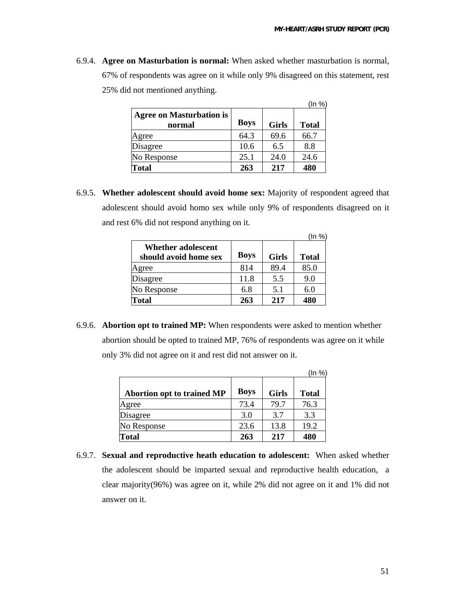6.9.4. **Agree on Masturbation is normal:** When asked whether masturbation is normal, 67% of respondents was agree on it while only 9% disagreed on this statement, rest 25% did not mentioned anything.

|                                           |             |              | (ln %)       |
|-------------------------------------------|-------------|--------------|--------------|
| <b>Agree on Masturbation is</b><br>normal | <b>Boys</b> | <b>Girls</b> | <b>Total</b> |
| Agree                                     | 64.3        | 69.6         | 66.7         |
| Disagree                                  | 10.6        | 6.5          | 8.8          |
| No Response                               | 25.1        | 24.0         | 24.6         |
| <b>Total</b>                              | 263         | 217          | 480          |

6.9.5. **Whether adolescent should avoid home sex:** Majority of respondent agreed that adolescent should avoid homo sex while only 9% of respondents disagreed on it and rest 6% did not respond anything on it.

|                                             |             |              | (In %)       |
|---------------------------------------------|-------------|--------------|--------------|
| Whether adolescent<br>should avoid home sex | <b>Boys</b> | <b>Girls</b> | <b>Total</b> |
| Agree                                       | 814         | 89.4         | 85.0         |
| Disagree                                    | 11.8        | 5.5          | 9.0          |
| No Response                                 | 6.8         | 5.1          | 6.0          |
| <b>Total</b>                                | 263         | 217          | 480          |

6.9.6. **Abortion opt to trained MP:** When respondents were asked to mention whether abortion should be opted to trained MP, 76% of respondents was agree on it while only 3% did not agree on it and rest did not answer on it.

|                                   |             |              | (ln %)       |
|-----------------------------------|-------------|--------------|--------------|
| <b>Abortion opt to trained MP</b> | <b>Boys</b> | <b>Girls</b> | <b>Total</b> |
| Agree                             | 73.4        | 79.7         | 76.3         |
| Disagree                          | 3.0         | 3.7          | 3.3          |
| No Response                       | 23.6        | 13.8         | 19.2         |
| <b>Total</b>                      | 263         | 217          | 480          |

6.9.7. **Sexual and reproductive heath education to adolescent:** When asked whether the adolescent should be imparted sexual and reproductive health education, a clear majority(96%) was agree on it, while 2% did not agree on it and 1% did not answer on it.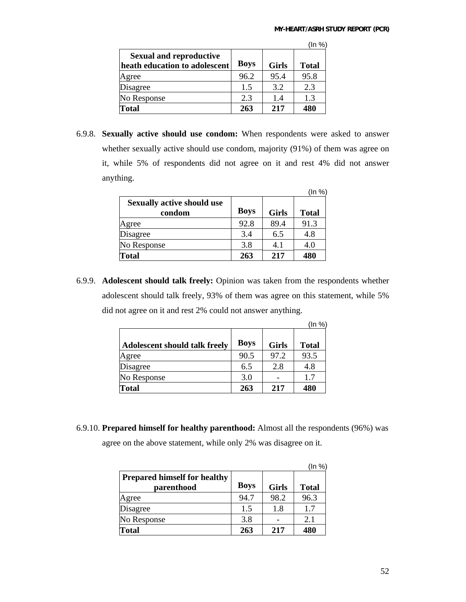|                                                                 |             |              | (ln %)       |
|-----------------------------------------------------------------|-------------|--------------|--------------|
| <b>Sexual and reproductive</b><br>heath education to adolescent | <b>Boys</b> | <b>Girls</b> | <b>Total</b> |
| Agree                                                           | 96.2        | 95.4         | 95.8         |
| Disagree                                                        | 1.5         | 3.2          | 2.3          |
| No Response                                                     | 2.3         | 1.4          | 1.3          |
| <b>Total</b>                                                    | 263         | 217          | 480          |

6.9.8. **Sexually active should use condom:** When respondents were asked to answer whether sexually active should use condom, majority (91%) of them was agree on it, while 5% of respondents did not agree on it and rest 4% did not answer anything.

|                                             |             |              | (ln %)       |
|---------------------------------------------|-------------|--------------|--------------|
| <b>Sexually active should use</b><br>condom | <b>Boys</b> | <b>Girls</b> | <b>Total</b> |
| Agree                                       | 92.8        | 89.4         | 91.3         |
| Disagree                                    | 3.4         | 6.5          | 4.8          |
| No Response                                 | 3.8         | 4.1          | 4.0          |
| <b>Total</b>                                | 263         | 217          | 480          |

6.9.9. **Adolescent should talk freely:** Opinion was taken from the respondents whether adolescent should talk freely, 93% of them was agree on this statement, while 5% did not agree on it and rest 2% could not answer anything.

|                               |             |              | (ln %)       |
|-------------------------------|-------------|--------------|--------------|
| Adolescent should talk freely | <b>Boys</b> | <b>Girls</b> | <b>Total</b> |
| Agree                         | 90.5        | 97.2         | 93.5         |
| Disagree                      | 6.5         | 2.8          | 4.8          |
| No Response                   | 3.0         |              | 1.7          |
| Total                         | 263         | 217          | 480          |

6.9.10. **Prepared himself for healthy parenthood:** Almost all the respondents (96%) was

agree on the above statement, while only 2% was disagree on it.

|                                                   |             |              | (In %)       |
|---------------------------------------------------|-------------|--------------|--------------|
| <b>Prepared himself for healthy</b><br>parenthood | <b>Boys</b> | <b>Girls</b> | <b>Total</b> |
| Agree                                             | 94.7        | 98.2         | 96.3         |
| <b>Disagree</b>                                   | 1.5         | 1.8          | 1.7          |
| No Response                                       | 3.8         |              | 2.1          |
| <b>Total</b>                                      | 263         | 217          | 480          |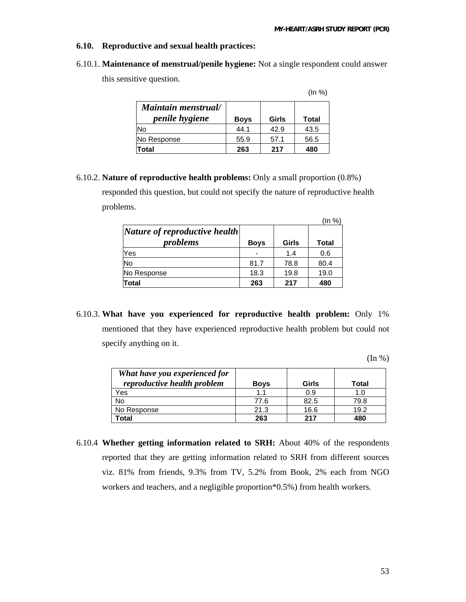### **6.10. Reproductive and sexual health practices:**

6.10.1. **Maintenance of menstrual/penile hygiene:** Not a single respondent could answer

this sensitive question.

|                                       |             |       | (ln %) |
|---------------------------------------|-------------|-------|--------|
| Maintain menstrual/<br>penile hygiene | <b>Boys</b> | Girls | Total  |
| No                                    | 44.1        | 42.9  | 43.5   |
| No Response                           | 55.9        | 57.1  | 56.5   |
| Total                                 | 263         | 217   | 480    |

6.10.2. **Nature of reproductive health problems:** Only a small proportion (0.8%) responded this question, but could not specify the nature of reproductive health problems.

|                                           |             |       | (In %) |
|-------------------------------------------|-------------|-------|--------|
| Nature of reproductive health<br>problems | <b>Boys</b> | Girls | Total  |
| Yes                                       |             | 1.4   | 0.6    |
| No                                        | 81.7        | 78.8  | 80.4   |
| No Response                               | 18.3        | 19.8  | 19.0   |
| Total                                     | 263         | 217   | 480    |

6.10.3. **What have you experienced for reproductive health problem:** Only 1% mentioned that they have experienced reproductive health problem but could not specify anything on it.

(In %)

| What have you experienced for<br>reproductive health problem | <b>Boys</b> | Girls | Total |
|--------------------------------------------------------------|-------------|-------|-------|
| Yes                                                          |             | 0.9   | 1.0   |
| No                                                           | 77.6        | 82.5  | 79.8  |
| No Response                                                  | 21.3        | 16.6  | 19.2  |
| Γotal                                                        | 263         | 217   | 480   |

6.10.4 **Whether getting information related to SRH:** About 40% of the respondents reported that they are getting information related to SRH from different sources viz. 81% from friends, 9.3% from TV, 5.2% from Book, 2% each from NGO workers and teachers, and a negligible proportion\*0.5%) from health workers.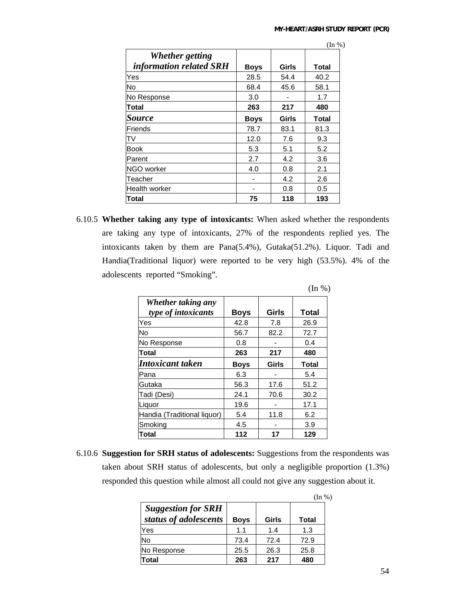|                                            |             |       | $(\ln \frac{9}{6})$ |
|--------------------------------------------|-------------|-------|---------------------|
| Whether getting<br>information related SRH | <b>Boys</b> | Girls | Total               |
| Yes                                        | 28.5        | 54.4  | 40.2                |
| No                                         | 68.4        | 45.6  | 58.1                |
| No Response                                | 3.0         |       | 1.7                 |
| Total                                      | 263         | 217   | 480                 |
| <b>Source</b>                              | <b>Boys</b> | Girls | Total               |
| Friends                                    | 78.7        | 83.1  | 81.3                |
| TV                                         | 12.0        | 7.6   | 9.3                 |
| Book                                       | 5.3         | 5.1   | 5.2                 |
| Parent                                     | 2.7         | 4.2   | 3.6                 |
| NGO worker                                 | 4.0         | 0.8   | 2.1                 |
| Teacher                                    |             | 4.2   | 2.6                 |
| Health worker                              |             | 0.8   | 0.5                 |
| lTotal                                     | 75          | 118   | 193                 |

6.10.5 **Whether taking any type of intoxicants:** When asked whether the respondents are taking any type of intoxicants, 27% of the respondents replied yes. The intoxicants taken by them are Pana(5.4%), Gutaka(51.2%). Liquor. Tadi and Handia(Traditional liquor) were reported to be very high (53.5%). 4% of the adolescents reported "Smoking".

|                                           |             |       | $(\ln \frac{9}{6})$ |
|-------------------------------------------|-------------|-------|---------------------|
| Whether taking any<br>type of intoxicants | <b>Boys</b> | Girls | <b>Total</b>        |
| Yes                                       | 42.8        | 7.8   | 26.9                |
| No                                        | 56.7        | 82.2  | 72.7                |
| No Response                               | 0.8         |       | 0.4                 |
| Total                                     | 263         | 217   | 480                 |
| <b>Intoxicant taken</b>                   | <b>Boys</b> | Girls | <b>Total</b>        |
| Pana                                      | 6.3         |       | 5.4                 |
| Gutaka                                    | 56.3        | 17.6  | 51.2                |
| Tadi (Desi)                               | 24.1        | 70.6  | 30.2                |
| Liquor                                    | 19.6        |       | 17.1                |
| Handia (Traditional liquor)               | 5.4         | 11.8  | 6.2                 |
| Smoking                                   | 4.5         |       | 3.9                 |
| Total                                     | 112         | 17    | 129                 |

6.10.6 **Suggestion for SRH status of adolescents:** Suggestions from the respondents was taken about SRH status of adolescents, but only a negligible proportion (1.3%) responded this question while almost all could not give any suggestion about it.

|                                                    |             |       |              | $(\ln \frac{9}{6})$ |
|----------------------------------------------------|-------------|-------|--------------|---------------------|
| <b>Suggestion for SRH</b><br>status of adolescents | <b>Boys</b> | Girls | <b>Total</b> |                     |
| Yes                                                | 1.1         | 1.4   | 1.3          |                     |
| No                                                 | 73.4        | 72.4  | 72.9         |                     |
| No Response                                        | 25.5        | 26.3  | 25.8         |                     |
| Total                                              | 263         | 217   | 480          |                     |

54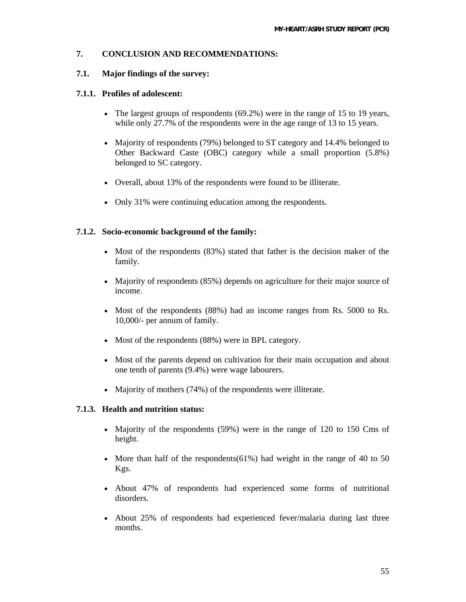### **7. CONCLUSION AND RECOMMENDATIONS:**

### **7.1. Major findings of the survey:**

### **7.1.1. Profiles of adolescent:**

- The largest groups of respondents (69.2%) were in the range of 15 to 19 years, while only 27.7% of the respondents were in the age range of 13 to 15 years.
- Majority of respondents (79%) belonged to ST category and 14.4% belonged to Other Backward Caste (OBC) category while a small proportion (5.8%) belonged to SC category.
- Overall, about 13% of the respondents were found to be illiterate.
- Only 31% were continuing education among the respondents.

### **7.1.2. Socio-economic background of the family:**

- Most of the respondents (83%) stated that father is the decision maker of the family.
- Majority of respondents (85%) depends on agriculture for their major source of income.
- Most of the respondents (88%) had an income ranges from Rs. 5000 to Rs. 10,000/- per annum of family.
- Most of the respondents (88%) were in BPL category.
- Most of the parents depend on cultivation for their main occupation and about one tenth of parents (9.4%) were wage labourers.
- Majority of mothers (74%) of the respondents were illiterate.

### **7.1.3. Health and nutrition status:**

- Majority of the respondents (59%) were in the range of 120 to 150 Cms of height.
- More than half of the respondents( $61\%$ ) had weight in the range of 40 to 50 Kgs.
- About 47% of respondents had experienced some forms of nutritional disorders.
- About 25% of respondents had experienced fever/malaria during last three months.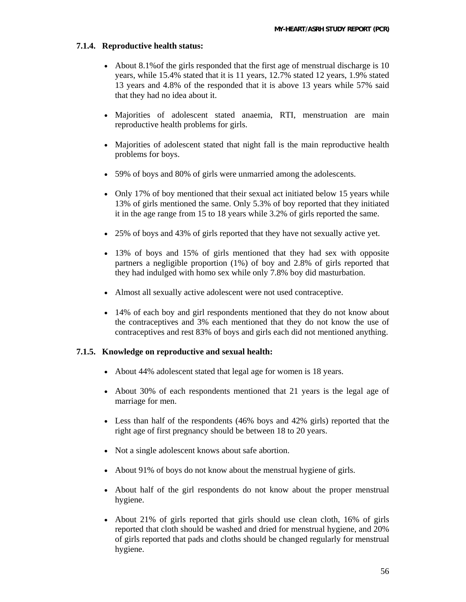### **7.1.4. Reproductive health status:**

- About 8.1% of the girls responded that the first age of menstrual discharge is 10 years, while 15.4% stated that it is 11 years, 12.7% stated 12 years, 1.9% stated 13 years and 4.8% of the responded that it is above 13 years while 57% said that they had no idea about it.
- Majorities of adolescent stated anaemia, RTI, menstruation are main reproductive health problems for girls.
- Majorities of adolescent stated that night fall is the main reproductive health problems for boys.
- 59% of boys and 80% of girls were unmarried among the adolescents.
- Only 17% of boy mentioned that their sexual act initiated below 15 years while 13% of girls mentioned the same. Only 5.3% of boy reported that they initiated it in the age range from 15 to 18 years while 3.2% of girls reported the same.
- 25% of boys and 43% of girls reported that they have not sexually active yet.
- 13% of boys and 15% of girls mentioned that they had sex with opposite partners a negligible proportion (1%) of boy and 2.8% of girls reported that they had indulged with homo sex while only 7.8% boy did masturbation.
- Almost all sexually active adolescent were not used contraceptive.
- 14% of each boy and girl respondents mentioned that they do not know about the contraceptives and 3% each mentioned that they do not know the use of contraceptives and rest 83% of boys and girls each did not mentioned anything.

### **7.1.5. Knowledge on reproductive and sexual health:**

- About 44% adolescent stated that legal age for women is 18 years.
- About 30% of each respondents mentioned that 21 years is the legal age of marriage for men.
- Less than half of the respondents (46% boys and 42% girls) reported that the right age of first pregnancy should be between 18 to 20 years.
- Not a single adolescent knows about safe abortion.
- About 91% of boys do not know about the menstrual hygiene of girls.
- About half of the girl respondents do not know about the proper menstrual hygiene.
- About 21% of girls reported that girls should use clean cloth, 16% of girls reported that cloth should be washed and dried for menstrual hygiene, and 20% of girls reported that pads and cloths should be changed regularly for menstrual hygiene.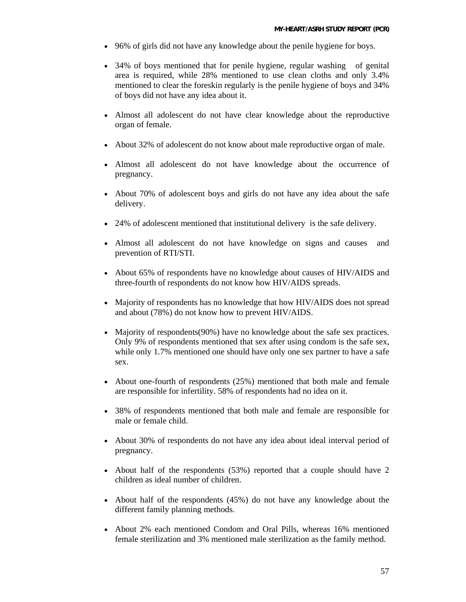- 96% of girls did not have any knowledge about the penile hygiene for boys.
- 34% of boys mentioned that for penile hygiene, regular washing of genital area is required, while 28% mentioned to use clean cloths and only 3.4% mentioned to clear the foreskin regularly is the penile hygiene of boys and 34% of boys did not have any idea about it.
- Almost all adolescent do not have clear knowledge about the reproductive organ of female.
- About 32% of adolescent do not know about male reproductive organ of male.
- Almost all adolescent do not have knowledge about the occurrence of pregnancy.
- About 70% of adolescent boys and girls do not have any idea about the safe delivery.
- 24% of adolescent mentioned that institutional delivery is the safe delivery.
- Almost all adolescent do not have knowledge on signs and causes and prevention of RTI/STI.
- About 65% of respondents have no knowledge about causes of HIV/AIDS and three-fourth of respondents do not know how HIV/AIDS spreads.
- Majority of respondents has no knowledge that how HIV/AIDS does not spread and about (78%) do not know how to prevent HIV/AIDS.
- Majority of respondents(90%) have no knowledge about the safe sex practices. Only 9% of respondents mentioned that sex after using condom is the safe sex, while only 1.7% mentioned one should have only one sex partner to have a safe sex.
- About one-fourth of respondents (25%) mentioned that both male and female are responsible for infertility. 58% of respondents had no idea on it.
- 38% of respondents mentioned that both male and female are responsible for male or female child.
- About 30% of respondents do not have any idea about ideal interval period of pregnancy.
- About half of the respondents (53%) reported that a couple should have 2 children as ideal number of children.
- About half of the respondents (45%) do not have any knowledge about the different family planning methods.
- About 2% each mentioned Condom and Oral Pills, whereas 16% mentioned female sterilization and 3% mentioned male sterilization as the family method.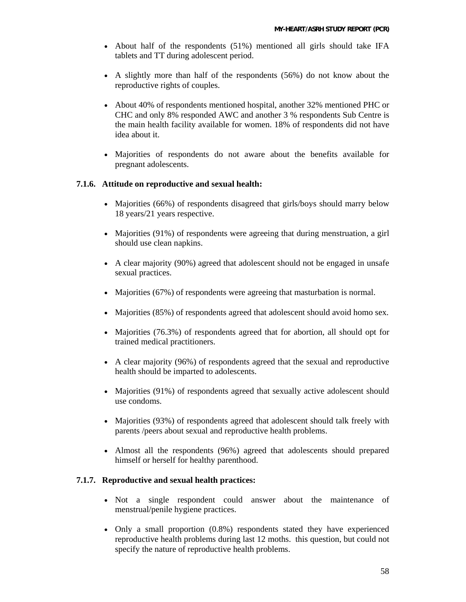- About half of the respondents (51%) mentioned all girls should take IFA tablets and TT during adolescent period.
- A slightly more than half of the respondents (56%) do not know about the reproductive rights of couples.
- About 40% of respondents mentioned hospital, another 32% mentioned PHC or CHC and only 8% responded AWC and another 3 % respondents Sub Centre is the main health facility available for women. 18% of respondents did not have idea about it.
- Majorities of respondents do not aware about the benefits available for pregnant adolescents.

### **7.1.6. Attitude on reproductive and sexual health:**

- Majorities (66%) of respondents disagreed that girls/boys should marry below 18 years/21 years respective.
- Majorities (91%) of respondents were agreeing that during menstruation, a girl should use clean napkins.
- A clear majority (90%) agreed that adolescent should not be engaged in unsafe sexual practices.
- Majorities (67%) of respondents were agreeing that masturbation is normal.
- Majorities (85%) of respondents agreed that adolescent should avoid homo sex.
- Majorities (76.3%) of respondents agreed that for abortion, all should opt for trained medical practitioners.
- A clear majority (96%) of respondents agreed that the sexual and reproductive health should be imparted to adolescents.
- Majorities (91%) of respondents agreed that sexually active adolescent should use condoms.
- Majorities (93%) of respondents agreed that adolescent should talk freely with parents /peers about sexual and reproductive health problems.
- Almost all the respondents (96%) agreed that adolescents should prepared himself or herself for healthy parenthood.

### **7.1.7. Reproductive and sexual health practices:**

- Not a single respondent could answer about the maintenance of menstrual/penile hygiene practices.
- Only a small proportion (0.8%) respondents stated they have experienced reproductive health problems during last 12 moths. this question, but could not specify the nature of reproductive health problems.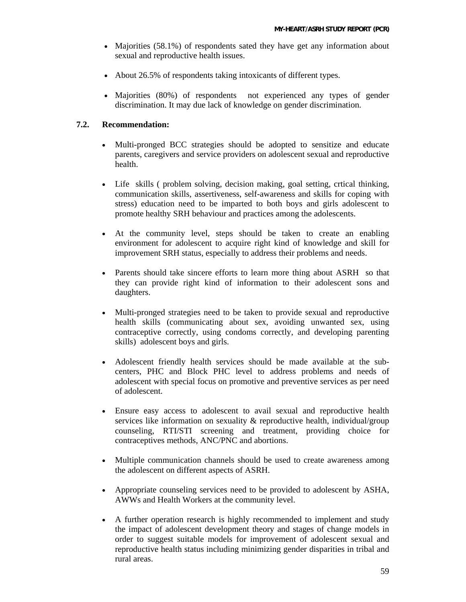- Majorities (58.1%) of respondents sated they have get any information about sexual and reproductive health issues.
- About 26.5% of respondents taking intoxicants of different types.
- Majorities (80%) of respondents not experienced any types of gender discrimination. It may due lack of knowledge on gender discrimination.

### **7.2. Recommendation:**

- Multi-pronged BCC strategies should be adopted to sensitize and educate parents, caregivers and service providers on adolescent sexual and reproductive health.
- Life skills ( problem solving, decision making, goal setting, crtical thinking, communication skills, assertiveness, self-awareness and skills for coping with stress) education need to be imparted to both boys and girls adolescent to promote healthy SRH behaviour and practices among the adolescents.
- At the community level, steps should be taken to create an enabling environment for adolescent to acquire right kind of knowledge and skill for improvement SRH status, especially to address their problems and needs.
- Parents should take sincere efforts to learn more thing about ASRH so that they can provide right kind of information to their adolescent sons and daughters.
- Multi-pronged strategies need to be taken to provide sexual and reproductive health skills (communicating about sex, avoiding unwanted sex, using contraceptive correctly, using condoms correctly, and developing parenting skills) adolescent boys and girls.
- Adolescent friendly health services should be made available at the subcenters, PHC and Block PHC level to address problems and needs of adolescent with special focus on promotive and preventive services as per need of adolescent.
- Ensure easy access to adolescent to avail sexual and reproductive health services like information on sexuality & reproductive health, individual/group counseling, RTI/STI screening and treatment, providing choice for contraceptives methods, ANC/PNC and abortions.
- Multiple communication channels should be used to create awareness among the adolescent on different aspects of ASRH.
- Appropriate counseling services need to be provided to adolescent by ASHA, AWWs and Health Workers at the community level.
- A further operation research is highly recommended to implement and study the impact of adolescent development theory and stages of change models in order to suggest suitable models for improvement of adolescent sexual and reproductive health status including minimizing gender disparities in tribal and rural areas.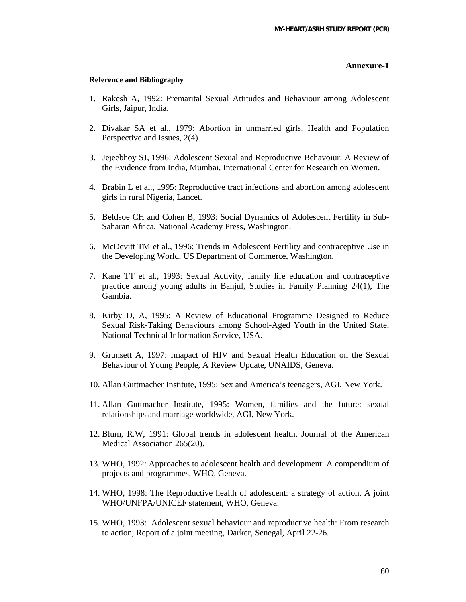#### **Annexure-1**

#### **Reference and Bibliography**

- 1. Rakesh A, 1992: Premarital Sexual Attitudes and Behaviour among Adolescent Girls, Jaipur, India.
- 2. Divakar SA et al., 1979: Abortion in unmarried girls, Health and Population Perspective and Issues, 2(4).
- 3. Jejeebhoy SJ, 1996: Adolescent Sexual and Reproductive Behavoiur: A Review of the Evidence from India, Mumbai, International Center for Research on Women.
- 4. Brabin L et al., 1995: Reproductive tract infections and abortion among adolescent girls in rural Nigeria, Lancet.
- 5. Beldsoe CH and Cohen B, 1993: Social Dynamics of Adolescent Fertility in Sub-Saharan Africa, National Academy Press, Washington.
- 6. McDevitt TM et al., 1996: Trends in Adolescent Fertility and contraceptive Use in the Developing World, US Department of Commerce, Washington.
- 7. Kane TT et al., 1993: Sexual Activity, family life education and contraceptive practice among young adults in Banjul, Studies in Family Planning 24(1), The Gambia.
- 8. Kirby D, A, 1995: A Review of Educational Programme Designed to Reduce Sexual Risk-Taking Behaviours among School-Aged Youth in the United State, National Technical Information Service, USA.
- 9. Grunsett A, 1997: Imapact of HIV and Sexual Health Education on the Sexual Behaviour of Young People, A Review Update, UNAIDS, Geneva.
- 10. Allan Guttmacher Institute, 1995: Sex and America's teenagers, AGI, New York.
- 11. Allan Guttmacher Institute, 1995: Women, families and the future: sexual relationships and marriage worldwide, AGI, New York.
- 12. Blum, R.W, 1991: Global trends in adolescent health, Journal of the American Medical Association 265(20).
- 13. WHO, 1992: Approaches to adolescent health and development: A compendium of projects and programmes, WHO, Geneva.
- 14. WHO, 1998: The Reproductive health of adolescent: a strategy of action, A joint WHO/UNFPA/UNICEF statement, WHO, Geneva.
- 15. WHO, 1993: Adolescent sexual behaviour and reproductive health: From research to action, Report of a joint meeting, Darker, Senegal, April 22-26.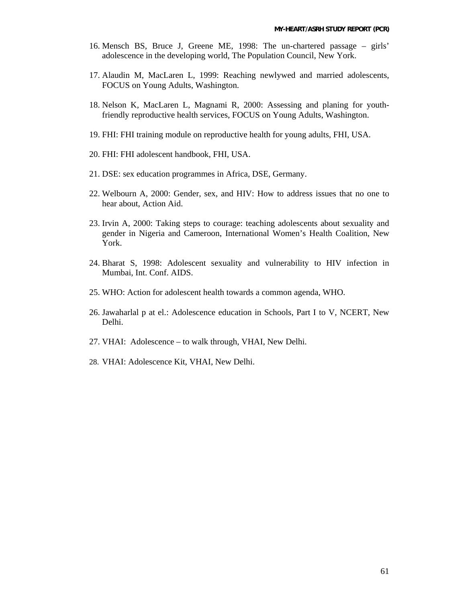- 16. Mensch BS, Bruce J, Greene ME, 1998: The un-chartered passage girls' adolescence in the developing world, The Population Council, New York.
- 17. Alaudin M, MacLaren L, 1999: Reaching newlywed and married adolescents, FOCUS on Young Adults, Washington.
- 18. Nelson K, MacLaren L, Magnami R, 2000: Assessing and planing for youthfriendly reproductive health services, FOCUS on Young Adults, Washington.
- 19. FHI: FHI training module on reproductive health for young adults, FHI, USA.
- 20. FHI: FHI adolescent handbook, FHI, USA.
- 21. DSE: sex education programmes in Africa, DSE, Germany.
- 22. Welbourn A, 2000: Gender, sex, and HIV: How to address issues that no one to hear about, Action Aid.
- 23. Irvin A, 2000: Taking steps to courage: teaching adolescents about sexuality and gender in Nigeria and Cameroon, International Women's Health Coalition, New York.
- 24. Bharat S, 1998: Adolescent sexuality and vulnerability to HIV infection in Mumbai, Int. Conf. AIDS.
- 25. WHO: Action for adolescent health towards a common agenda, WHO.
- 26. Jawaharlal p at el.: Adolescence education in Schools, Part I to V, NCERT, New Delhi.
- 27. VHAI: Adolescence to walk through, VHAI, New Delhi.
- 28. VHAI: Adolescence Kit, VHAI, New Delhi.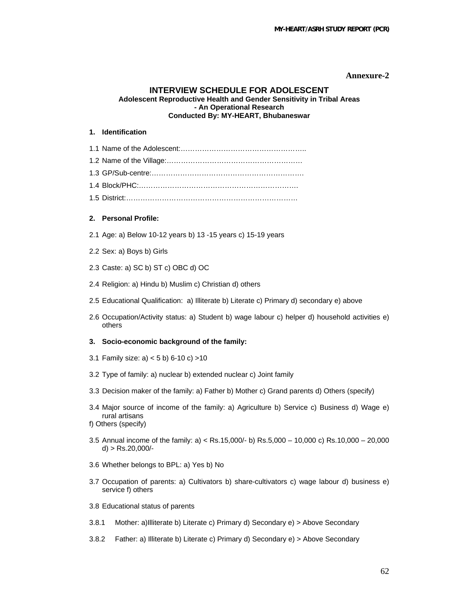**Annexure-2** 

#### **INTERVIEW SCHEDULE FOR ADOLESCENT Adolescent Reproductive Health and Gender Sensitivity in Tribal Areas - An Operational Research Conducted By: MY-HEART, Bhubaneswar**

#### **1. Identification**

- 1.1 Name of the Adolescent:…………………………………………….. 1.2 Name of the Village:…………………………………………………
- 1.3 GP/Sub-centre:………………………………………………………. 1.4 Block/PHC:…………………………………………………………. 1.5 District:………………………………………………………………

#### **2. Personal Profile:**

- 2.1 Age: a) Below 10-12 years b) 13 -15 years c) 15-19 years
- 2.2 Sex: a) Boys b) Girls
- 2.3 Caste: a) SC b) ST c) OBC d) OC
- 2.4 Religion: a) Hindu b) Muslim c) Christian d) others
- 2.5 Educational Qualification: a) Illiterate b) Literate c) Primary d) secondary e) above
- 2.6 Occupation/Activity status: a) Student b) wage labour c) helper d) household activities e) others
- **3. Socio-economic background of the family:**
- 3.1 Family size: a) < 5 b) 6-10 c) >10
- 3.2 Type of family: a) nuclear b) extended nuclear c) Joint family
- 3.3 Decision maker of the family: a) Father b) Mother c) Grand parents d) Others (specify)
- 3.4 Major source of income of the family: a) Agriculture b) Service c) Business d) Wage e) rural artisans
- f) Others (specify)
- 3.5 Annual income of the family: a) < Rs.15,000/- b) Rs.5,000 10,000 c) Rs.10,000 20,000 d) > Rs.20,000/-
- 3.6 Whether belongs to BPL: a) Yes b) No
- 3.7 Occupation of parents: a) Cultivators b) share-cultivators c) wage labour d) business e) service f) others
- 3.8 Educational status of parents
- 3.8.1 Mother: a)Illiterate b) Literate c) Primary d) Secondary e) > Above Secondary
- 3.8.2 Father: a) Illiterate b) Literate c) Primary d) Secondary e) > Above Secondary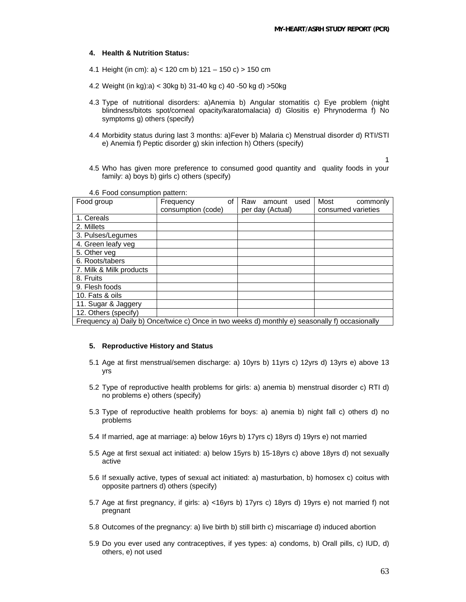1

#### **4. Health & Nutrition Status:**

- 4.1 Height (in cm): a) < 120 cm b) 121 150 c) > 150 cm
- 4.2 Weight (in kg):a) < 30kg b) 31-40 kg c) 40 -50 kg d) >50kg
- 4.3 Type of nutritional disorders: a)Anemia b) Angular stomatitis c) Eye problem (night blindness/bitots spot/corneal opacity/karatomalacia) d) Glositis e) Phrynoderma f) No symptoms g) others (specify)
- 4.4 Morbidity status during last 3 months: a)Fever b) Malaria c) Menstrual disorder d) RTI/STI e) Anemia f) Peptic disorder g) skin infection h) Others (specify)
- 4.5 Who has given more preference to consumed good quantity and quality foods in your family: a) boys b) girls c) others (specify)

| Food group                                                                                     | Frequency<br>οf    | Raw<br>used<br>amount | Most<br>commonly   |  |
|------------------------------------------------------------------------------------------------|--------------------|-----------------------|--------------------|--|
|                                                                                                | consumption (code) | per day (Actual)      | consumed varieties |  |
| 1. Cereals                                                                                     |                    |                       |                    |  |
| 2. Millets                                                                                     |                    |                       |                    |  |
| 3. Pulses/Legumes                                                                              |                    |                       |                    |  |
| 4. Green leafy veg                                                                             |                    |                       |                    |  |
| 5. Other veg                                                                                   |                    |                       |                    |  |
| 6. Roots/tabers                                                                                |                    |                       |                    |  |
| 7. Milk & Milk products                                                                        |                    |                       |                    |  |
| 8. Fruits                                                                                      |                    |                       |                    |  |
| 9. Flesh foods                                                                                 |                    |                       |                    |  |
| 10. Fats & oils                                                                                |                    |                       |                    |  |
| 11. Sugar & Jaggery                                                                            |                    |                       |                    |  |
| 12. Others (specify)                                                                           |                    |                       |                    |  |
| Frequency a) Daily b) Once/twice c) Once in two weeks d) monthly e) seasonally f) occasionally |                    |                       |                    |  |

4.6 Food consumption pattern:

#### **5. Reproductive History and Status**

- 5.1 Age at first menstrual/semen discharge: a) 10yrs b) 11yrs c) 12yrs d) 13yrs e) above 13 yrs
- 5.2 Type of reproductive health problems for girls: a) anemia b) menstrual disorder c) RTI d) no problems e) others (specify)
- 5.3 Type of reproductive health problems for boys: a) anemia b) night fall c) others d) no problems
- 5.4 If married, age at marriage: a) below 16yrs b) 17yrs c) 18yrs d) 19yrs e) not married
- 5.5 Age at first sexual act initiated: a) below 15yrs b) 15-18yrs c) above 18yrs d) not sexually active
- 5.6 If sexually active, types of sexual act initiated: a) masturbation, b) homosex c) coitus with opposite partners d) others (specify)
- 5.7 Age at first pregnancy, if girls: a) <16yrs b) 17yrs c) 18yrs d) 19yrs e) not married f) not pregnant
- 5.8 Outcomes of the pregnancy: a) live birth b) still birth c) miscarriage d) induced abortion
- 5.9 Do you ever used any contraceptives, if yes types: a) condoms, b) Orall pills, c) IUD, d) others, e) not used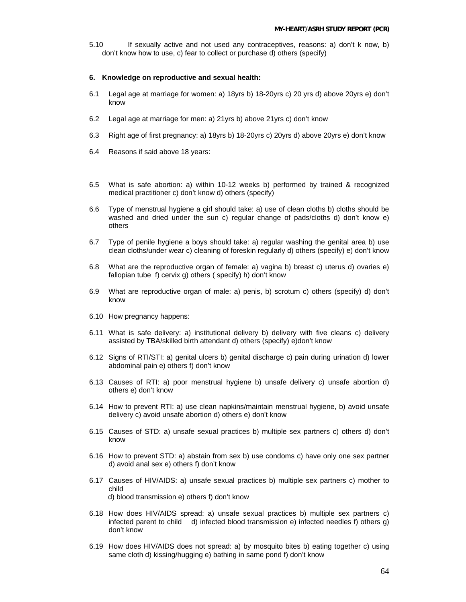5.10 If sexually active and not used any contraceptives, reasons: a) don't k now, b) don't know how to use, c) fear to collect or purchase d) others (specify)

#### **6. Knowledge on reproductive and sexual health:**

- 6.1 Legal age at marriage for women: a) 18yrs b) 18-20yrs c) 20 yrs d) above 20yrs e) don't know
- 6.2 Legal age at marriage for men: a) 21yrs b) above 21yrs c) don't know
- 6.3 Right age of first pregnancy: a) 18yrs b) 18-20yrs c) 20yrs d) above 20yrs e) don't know
- 6.4 Reasons if said above 18 years:
- 6.5 What is safe abortion: a) within 10-12 weeks b) performed by trained & recognized medical practitioner c) don't know d) others (specify)
- 6.6 Type of menstrual hygiene a girl should take: a) use of clean cloths b) cloths should be washed and dried under the sun c) regular change of pads/cloths d) don't know e) others
- 6.7 Type of penile hygiene a boys should take: a) regular washing the genital area b) use clean cloths/under wear c) cleaning of foreskin regularly d) others (specify) e) don't know
- 6.8 What are the reproductive organ of female: a) vagina b) breast c) uterus d) ovaries e) fallopian tube f) cervix g) others ( specify) h) don't know
- 6.9 What are reproductive organ of male: a) penis, b) scrotum c) others (specify) d) don't know
- 6.10 How pregnancy happens:
- 6.11 What is safe delivery: a) institutional delivery b) delivery with five cleans c) delivery assisted by TBA/skilled birth attendant d) others (specify) e)don't know
- 6.12 Signs of RTI/STI: a) genital ulcers b) genital discharge c) pain during urination d) lower abdominal pain e) others f) don't know
- 6.13 Causes of RTI: a) poor menstrual hygiene b) unsafe delivery c) unsafe abortion d) others e) don't know
- 6.14 How to prevent RTI: a) use clean napkins/maintain menstrual hygiene, b) avoid unsafe delivery c) avoid unsafe abortion d) others e) don't know
- 6.15 Causes of STD: a) unsafe sexual practices b) multiple sex partners c) others d) don't know
- 6.16 How to prevent STD: a) abstain from sex b) use condoms c) have only one sex partner d) avoid anal sex e) others f) don't know
- 6.17 Causes of HIV/AIDS: a) unsafe sexual practices b) multiple sex partners c) mother to child d) blood transmission e) others f) don't know
- 6.18 How does HIV/AIDS spread: a) unsafe sexual practices b) multiple sex partners c) infected parent to child d) infected blood transmission e) infected needles f) others g) don't know
- 6.19 How does HIV/AIDS does not spread: a) by mosquito bites b) eating together c) using same cloth d) kissing/hugging e) bathing in same pond f) don't know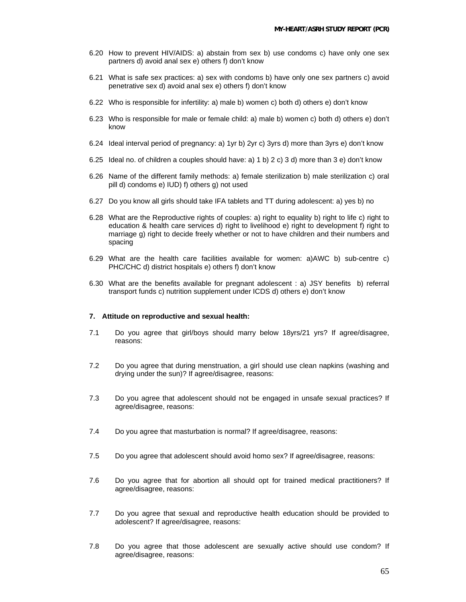- 6.20 How to prevent HIV/AIDS: a) abstain from sex b) use condoms c) have only one sex partners d) avoid anal sex e) others f) don't know
- 6.21 What is safe sex practices: a) sex with condoms b) have only one sex partners c) avoid penetrative sex d) avoid anal sex e) others f) don't know
- 6.22 Who is responsible for infertility: a) male b) women c) both d) others e) don't know
- 6.23 Who is responsible for male or female child: a) male b) women c) both d) others e) don't know
- 6.24 Ideal interval period of pregnancy: a) 1yr b) 2yr c) 3yrs d) more than 3yrs e) don't know
- 6.25 Ideal no. of children a couples should have: a) 1 b) 2 c) 3 d) more than 3 e) don't know
- 6.26 Name of the different family methods: a) female sterilization b) male sterilization c) oral pill d) condoms e) IUD) f) others g) not used
- 6.27 Do you know all girls should take IFA tablets and TT during adolescent: a) yes b) no
- 6.28 What are the Reproductive rights of couples: a) right to equality b) right to life c) right to education & health care services d) right to livelihood e) right to development f) right to marriage g) right to decide freely whether or not to have children and their numbers and spacing
- 6.29 What are the health care facilities available for women: a)AWC b) sub-centre c) PHC/CHC d) district hospitals e) others f) don't know
- 6.30 What are the benefits available for pregnant adolescent : a) JSY benefits b) referral transport funds c) nutrition supplement under ICDS d) others e) don't know

#### **7. Attitude on reproductive and sexual health:**

- 7.1 Do you agree that girl/boys should marry below 18yrs/21 yrs? If agree/disagree, reasons:
- 7.2 Do you agree that during menstruation, a girl should use clean napkins (washing and drying under the sun)? If agree/disagree, reasons:
- 7.3 Do you agree that adolescent should not be engaged in unsafe sexual practices? If agree/disagree, reasons:
- 7.4 Do you agree that masturbation is normal? If agree/disagree, reasons:
- 7.5 Do you agree that adolescent should avoid homo sex? If agree/disagree, reasons:
- 7.6 Do you agree that for abortion all should opt for trained medical practitioners? If agree/disagree, reasons:
- 7.7 Do you agree that sexual and reproductive health education should be provided to adolescent? If agree/disagree, reasons:
- 7.8 Do you agree that those adolescent are sexually active should use condom? If agree/disagree, reasons: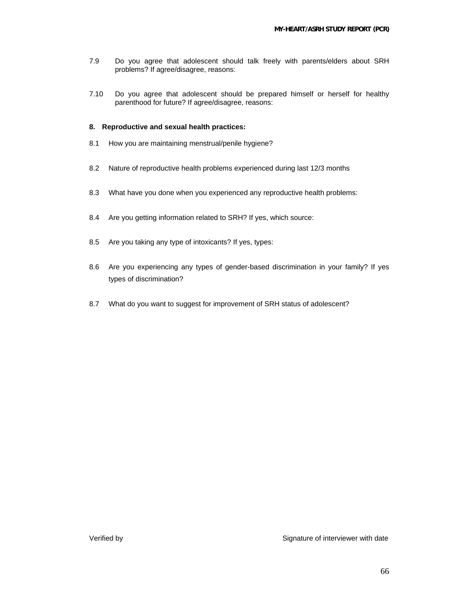- 7.9 Do you agree that adolescent should talk freely with parents/elders about SRH problems? If agree/disagree, reasons:
- 7.10 Do you agree that adolescent should be prepared himself or herself for healthy parenthood for future? If agree/disagree, reasons:

#### **8. Reproductive and sexual health practices:**

- 8.1 How you are maintaining menstrual/penile hygiene?
- 8.2 Nature of reproductive health problems experienced during last 12/3 months
- 8.3 What have you done when you experienced any reproductive health problems:
- 8.4 Are you getting information related to SRH? If yes, which source:
- 8.5 Are you taking any type of intoxicants? If yes, types:
- 8.6 Are you experiencing any types of gender-based discrimination in your family? If yes types of discrimination?
- 8.7 What do you want to suggest for improvement of SRH status of adolescent?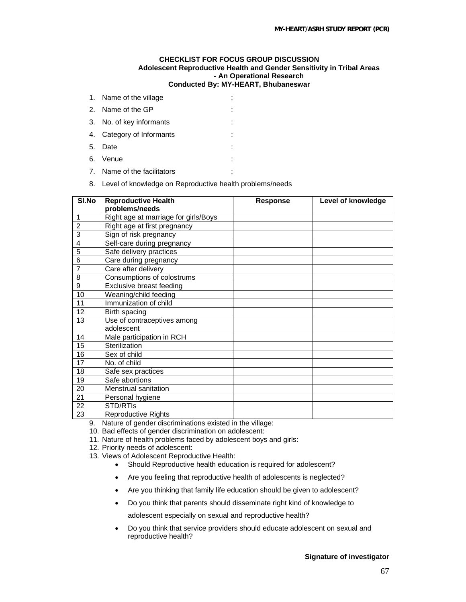#### **CHECKLIST FOR FOCUS GROUP DISCUSSION Adolescent Reproductive Health and Gender Sensitivity in Tribal Areas - An Operational Research Conducted By: MY-HEART, Bhubaneswar**

- 1. Name of the village in the set of the village in the set of the set of the set of the set of the set of the set of the set of the set of the set of the set of the set of the set of the set of the set of the set of the s
- 2. Name of the GP :
- 3. No. of key informants :
- 4. Category of Informants :
- 5. Date :
- 6. Venue :
- 7. Name of the facilitators
- 8. Level of knowledge on Reproductive health problems/needs

| SI.No          | <b>Reproductive Health</b>           | <b>Response</b> | Level of knowledge |
|----------------|--------------------------------------|-----------------|--------------------|
|                | problems/needs                       |                 |                    |
| 1              | Right age at marriage for girls/Boys |                 |                    |
| $\overline{2}$ | Right age at first pregnancy         |                 |                    |
| 3              | Sign of risk pregnancy               |                 |                    |
| 4              | Self-care during pregnancy           |                 |                    |
| 5              | Safe delivery practices              |                 |                    |
| 6              | Care during pregnancy                |                 |                    |
| $\overline{7}$ | Care after delivery                  |                 |                    |
| 8              | Consumptions of colostrums           |                 |                    |
| 9              | Exclusive breast feeding             |                 |                    |
| 10             | Weaning/child feeding                |                 |                    |
| 11             | Immunization of child                |                 |                    |
| 12             | Birth spacing                        |                 |                    |
| 13             | Use of contraceptives among          |                 |                    |
|                | adolescent                           |                 |                    |
| 14             | Male participation in RCH            |                 |                    |
| 15             | Sterilization                        |                 |                    |
| 16             | Sex of child                         |                 |                    |
| 17             | No. of child                         |                 |                    |
| 18             | Safe sex practices                   |                 |                    |
| 19             | Safe abortions                       |                 |                    |
| 20             | Menstrual sanitation                 |                 |                    |
| 21             | Personal hygiene                     |                 |                    |
| 22             | STD/RTIs                             |                 |                    |
| 23             | <b>Reproductive Rights</b>           |                 |                    |

9. Nature of gender discriminations existed in the village:

- 10. Bad effects of gender discrimination on adolescent:
- 11. Nature of health problems faced by adolescent boys and girls:
- 12. Priority needs of adolescent:
- 13. Views of Adolescent Reproductive Health:
	- Should Reproductive health education is required for adolescent?
	- Are you feeling that reproductive health of adolescents is neglected?
	- Are you thinking that family life education should be given to adolescent?
	- Do you think that parents should disseminate right kind of knowledge to

adolescent especially on sexual and reproductive health?

• Do you think that service providers should educate adolescent on sexual and reproductive health?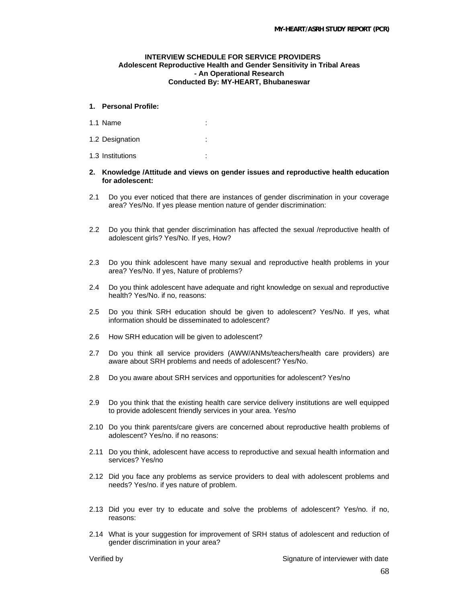#### **INTERVIEW SCHEDULE FOR SERVICE PROVIDERS Adolescent Reproductive Health and Gender Sensitivity in Tribal Areas - An Operational Research Conducted By: MY-HEART, Bhubaneswar**

#### **1. Personal Profile:**

| 1.1 Name |  |  |
|----------|--|--|
|          |  |  |

| 1.2 Designation |  |
|-----------------|--|
|                 |  |

1.3 Institutions :

#### **2. Knowledge /Attitude and views on gender issues and reproductive health education for adolescent:**

- 2.1 Do you ever noticed that there are instances of gender discrimination in your coverage area? Yes/No. If yes please mention nature of gender discrimination:
- 2.2 Do you think that gender discrimination has affected the sexual /reproductive health of adolescent girls? Yes/No. If yes, How?
- 2.3 Do you think adolescent have many sexual and reproductive health problems in your area? Yes/No. If yes, Nature of problems?
- 2.4 Do you think adolescent have adequate and right knowledge on sexual and reproductive health? Yes/No. if no, reasons:
- 2.5 Do you think SRH education should be given to adolescent? Yes/No. If yes, what information should be disseminated to adolescent?
- 2.6 How SRH education will be given to adolescent?
- 2.7 Do you think all service providers (AWW/ANMs/teachers/health care providers) are aware about SRH problems and needs of adolescent? Yes/No.
- 2.8 Do you aware about SRH services and opportunities for adolescent? Yes/no
- 2.9 Do you think that the existing health care service delivery institutions are well equipped to provide adolescent friendly services in your area. Yes/no
- 2.10 Do you think parents/care givers are concerned about reproductive health problems of adolescent? Yes/no. if no reasons:
- 2.11 Do you think, adolescent have access to reproductive and sexual health information and services? Yes/no
- 2.12 Did you face any problems as service providers to deal with adolescent problems and needs? Yes/no. if yes nature of problem.
- 2.13 Did you ever try to educate and solve the problems of adolescent? Yes/no. if no, reasons:
- 2.14 What is your suggestion for improvement of SRH status of adolescent and reduction of gender discrimination in your area?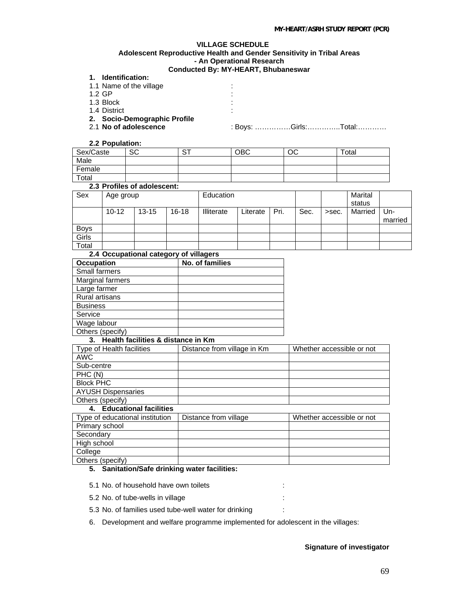#### **VILLAGE SCHEDULE Adolescent Reproductive Health and Gender Sensitivity in Tribal Areas - An Operational Research Conducted By: MY-HEART, Bhubaneswar**

- **1. Identification:**
- 1.1 Name of the village in the set of the village in the set of the village in the set of the set of the set of the set of the set of the set of the set of the set of the set of the set of the set of the set of the set of
- 1.2 GP :
- 1.3 Block :
- 1.4 District :
- **2. Socio-Demographic Profile**
- 

2.1 **No of adolescence** : Boys: ……………Girls:…………..Total:…………

### **2.2 Population:**

| Sex/Caste | $\sim$<br>ں ت | . ت | ОВС | OС | Total |
|-----------|---------------|-----|-----|----|-------|
| Male      |               |     |     |    |       |
| Female    |               |     |     |    |       |
| Total     |               |     |     |    |       |

### **2.3 Profiles of adolescent:**

| Sex         | Age group |           | Education |            |          |      | Marital |       |         |         |
|-------------|-----------|-----------|-----------|------------|----------|------|---------|-------|---------|---------|
|             |           |           |           |            |          |      |         |       | status  |         |
|             | $10 - 12$ | $13 - 15$ | $16 - 18$ | Illiterate | Literate | Pri. | Sec.    | >sec. | Married | Un-     |
|             |           |           |           |            |          |      |         |       |         | married |
| <b>Boys</b> |           |           |           |            |          |      |         |       |         |         |
| Girls       |           |           |           |            |          |      |         |       |         |         |
| Total       |           |           |           |            |          |      |         |       |         |         |

#### **2.4 Occupational category of villagers**

| <b>Occupation</b>    | No. of families |
|----------------------|-----------------|
| <b>Small farmers</b> |                 |
| Marginal farmers     |                 |
| Large farmer         |                 |
| Rural artisans       |                 |
| <b>Business</b>      |                 |
| Service              |                 |
| Wage labour          |                 |
| Others (specify)     |                 |

#### **3. Health facilities & distance in Km**

| Type of Health facilities | Distance from village in Km | Whether accessible or not |
|---------------------------|-----------------------------|---------------------------|
| <b>AWC</b>                |                             |                           |
| Sub-centre                |                             |                           |
| PHC (N)                   |                             |                           |
| <b>Block PHC</b>          |                             |                           |
| AYUSH Dispensaries        |                             |                           |
| Others (specify)          |                             |                           |

#### **4. Educational facilities**

| Type of educational institution | Distance from village | Whether accessible or not |
|---------------------------------|-----------------------|---------------------------|
| Primary school                  |                       |                           |
| Secondary                       |                       |                           |
| High school                     |                       |                           |
| College                         |                       |                           |
| Others (specify)                |                       |                           |

### **5. Sanitation/Safe drinking water facilities:**

- 5.1 No. of household have own toilets :
- 5.2 No. of tube-wells in village :
- 5.3 No. of families used tube-well water for drinking :
- 6. Development and welfare programme implemented for adolescent in the villages:

#### **Signature of investigator**